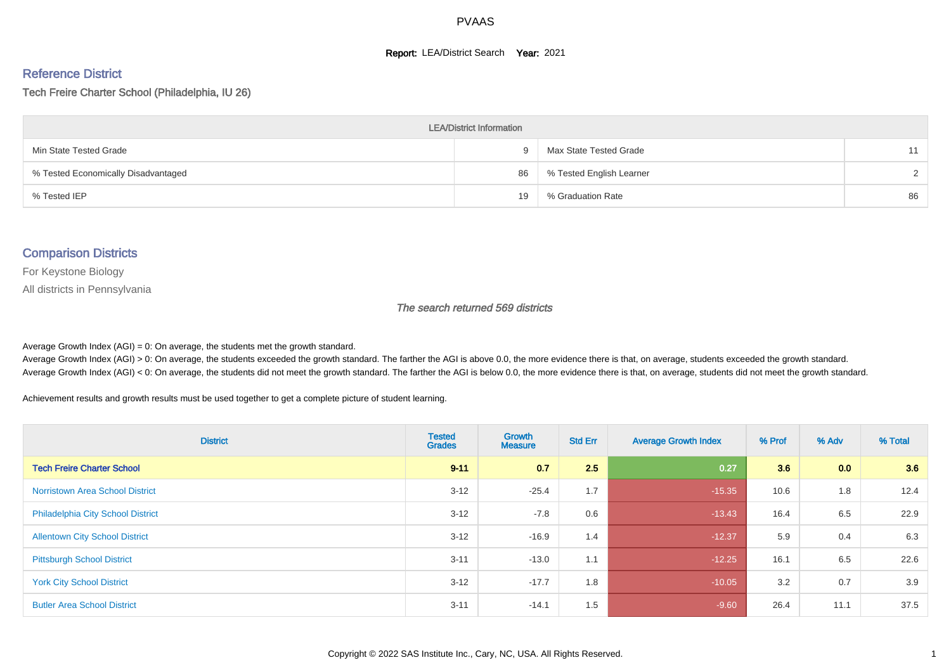#### **Report: LEA/District Search Year: 2021**

#### Reference District

Tech Freire Charter School (Philadelphia, IU 26)

| <b>LEA/District Information</b>     |     |                          |               |  |  |  |  |  |  |
|-------------------------------------|-----|--------------------------|---------------|--|--|--|--|--|--|
| Min State Tested Grade              | - 1 | Max State Tested Grade   | 11            |  |  |  |  |  |  |
| % Tested Economically Disadvantaged | 86  | % Tested English Learner | $\mathcal{D}$ |  |  |  |  |  |  |
| % Tested IEP                        | 19  | % Graduation Rate        | 86            |  |  |  |  |  |  |

#### Comparison Districts

For Keystone Biology

All districts in Pennsylvania

The search returned 569 districts

Average Growth Index  $(AGI) = 0$ : On average, the students met the growth standard.

Average Growth Index (AGI) > 0: On average, the students exceeded the growth standard. The farther the AGI is above 0.0, the more evidence there is that, on average, students exceeded the growth standard. Average Growth Index (AGI) < 0: On average, the students did not meet the growth standard. The farther the AGI is below 0.0, the more evidence there is that, on average, students did not meet the growth standard.

Achievement results and growth results must be used together to get a complete picture of student learning.

| <b>District</b>                          | <b>Tested</b><br><b>Grades</b> | <b>Growth</b><br><b>Measure</b> | <b>Std Err</b> | <b>Average Growth Index</b> | % Prof | % Adv | % Total |
|------------------------------------------|--------------------------------|---------------------------------|----------------|-----------------------------|--------|-------|---------|
| <b>Tech Freire Charter School</b>        | $9 - 11$                       | 0.7                             | 2.5            | 0.27                        | 3.6    | 0.0   | 3.6     |
| <b>Norristown Area School District</b>   | $3 - 12$                       | $-25.4$                         | 1.7            | $-15.35$                    | 10.6   | 1.8   | 12.4    |
| <b>Philadelphia City School District</b> | $3 - 12$                       | $-7.8$                          | 0.6            | $-13.43$                    | 16.4   | 6.5   | 22.9    |
| <b>Allentown City School District</b>    | $3 - 12$                       | $-16.9$                         | 1.4            | $-12.37$                    | 5.9    | 0.4   | 6.3     |
| <b>Pittsburgh School District</b>        | $3 - 11$                       | $-13.0$                         | 1.1            | $-12.25$                    | 16.1   | 6.5   | 22.6    |
| <b>York City School District</b>         | $3 - 12$                       | $-17.7$                         | 1.8            | $-10.05$                    | 3.2    | 0.7   | 3.9     |
| <b>Butler Area School District</b>       | $3 - 11$                       | $-14.1$                         | 1.5            | $-9.60$                     | 26.4   | 11.1  | 37.5    |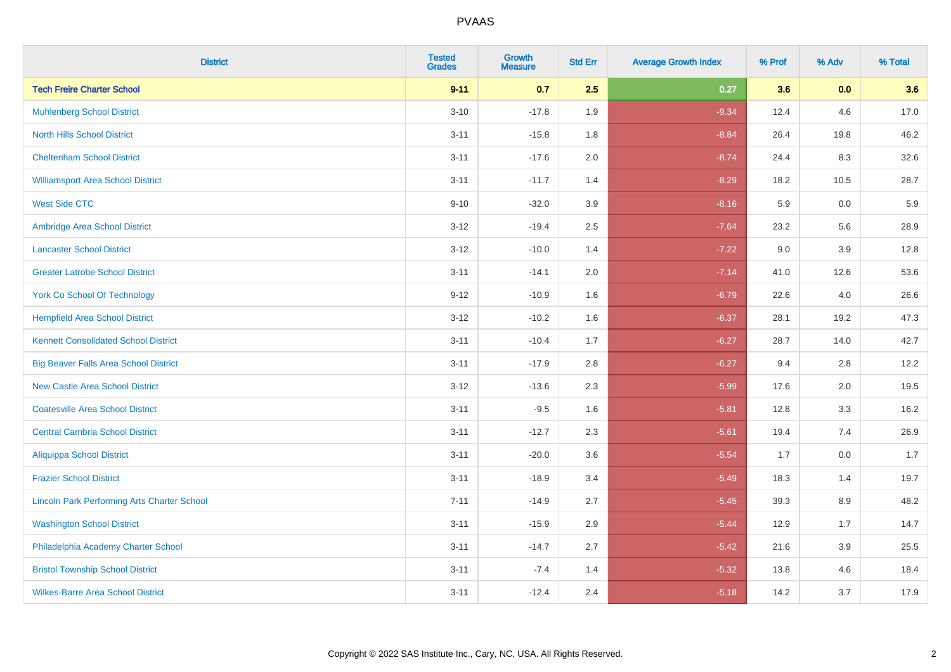| <b>District</b>                                    | <b>Tested</b><br><b>Grades</b> | <b>Growth</b><br><b>Measure</b> | <b>Std Err</b> | <b>Average Growth Index</b> | % Prof | % Adv | % Total |
|----------------------------------------------------|--------------------------------|---------------------------------|----------------|-----------------------------|--------|-------|---------|
| <b>Tech Freire Charter School</b>                  | $9 - 11$                       | 0.7                             | 2.5            | 0.27                        | 3.6    | 0.0   | 3.6     |
| <b>Muhlenberg School District</b>                  | $3 - 10$                       | $-17.8$                         | 1.9            | $-9.34$                     | 12.4   | 4.6   | 17.0    |
| <b>North Hills School District</b>                 | $3 - 11$                       | $-15.8$                         | 1.8            | $-8.84$                     | 26.4   | 19.8  | 46.2    |
| <b>Cheltenham School District</b>                  | $3 - 11$                       | $-17.6$                         | 2.0            | $-8.74$                     | 24.4   | 8.3   | 32.6    |
| <b>Williamsport Area School District</b>           | $3 - 11$                       | $-11.7$                         | 1.4            | $-8.29$                     | 18.2   | 10.5  | 28.7    |
| <b>West Side CTC</b>                               | $9 - 10$                       | $-32.0$                         | 3.9            | $-8.16$                     | 5.9    | 0.0   | 5.9     |
| Ambridge Area School District                      | $3 - 12$                       | $-19.4$                         | 2.5            | $-7.64$                     | 23.2   | 5.6   | 28.9    |
| <b>Lancaster School District</b>                   | $3 - 12$                       | $-10.0$                         | 1.4            | $-7.22$                     | 9.0    | 3.9   | 12.8    |
| <b>Greater Latrobe School District</b>             | $3 - 11$                       | $-14.1$                         | 2.0            | $-7.14$                     | 41.0   | 12.6  | 53.6    |
| <b>York Co School Of Technology</b>                | $9 - 12$                       | $-10.9$                         | 1.6            | $-6.79$                     | 22.6   | 4.0   | 26.6    |
| <b>Hempfield Area School District</b>              | $3 - 12$                       | $-10.2$                         | 1.6            | $-6.37$                     | 28.1   | 19.2  | 47.3    |
| <b>Kennett Consolidated School District</b>        | $3 - 11$                       | $-10.4$                         | 1.7            | $-6.27$                     | 28.7   | 14.0  | 42.7    |
| <b>Big Beaver Falls Area School District</b>       | $3 - 11$                       | $-17.9$                         | $2.8\,$        | $-6.27$                     | 9.4    | 2.8   | 12.2    |
| <b>New Castle Area School District</b>             | $3 - 12$                       | $-13.6$                         | 2.3            | $-5.99$                     | 17.6   | 2.0   | 19.5    |
| <b>Coatesville Area School District</b>            | $3 - 11$                       | $-9.5$                          | 1.6            | $-5.81$                     | 12.8   | 3.3   | 16.2    |
| <b>Central Cambria School District</b>             | $3 - 11$                       | $-12.7$                         | 2.3            | $-5.61$                     | 19.4   | 7.4   | 26.9    |
| <b>Aliquippa School District</b>                   | $3 - 11$                       | $-20.0$                         | 3.6            | $-5.54$                     | 1.7    | 0.0   | 1.7     |
| <b>Frazier School District</b>                     | $3 - 11$                       | $-18.9$                         | 3.4            | $-5.49$                     | 18.3   | 1.4   | 19.7    |
| <b>Lincoln Park Performing Arts Charter School</b> | $7 - 11$                       | $-14.9$                         | 2.7            | $-5.45$                     | 39.3   | 8.9   | 48.2    |
| <b>Washington School District</b>                  | $3 - 11$                       | $-15.9$                         | 2.9            | $-5.44$                     | 12.9   | 1.7   | 14.7    |
| Philadelphia Academy Charter School                | $3 - 11$                       | $-14.7$                         | 2.7            | $-5.42$                     | 21.6   | 3.9   | 25.5    |
| <b>Bristol Township School District</b>            | $3 - 11$                       | $-7.4$                          | 1.4            | $-5.32$                     | 13.8   | 4.6   | 18.4    |
| <b>Wilkes-Barre Area School District</b>           | $3 - 11$                       | $-12.4$                         | 2.4            | $-5.18$                     | 14.2   | 3.7   | 17.9    |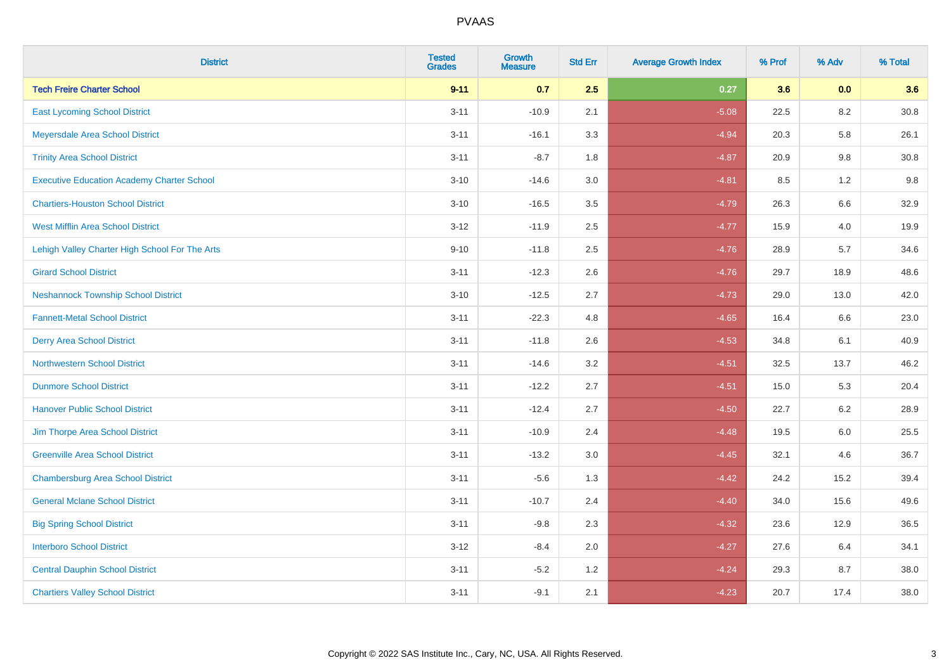| <b>District</b>                                   | <b>Tested</b><br><b>Grades</b> | <b>Growth</b><br><b>Measure</b> | <b>Std Err</b> | <b>Average Growth Index</b> | % Prof | % Adv   | % Total  |
|---------------------------------------------------|--------------------------------|---------------------------------|----------------|-----------------------------|--------|---------|----------|
| <b>Tech Freire Charter School</b>                 | $9 - 11$                       | 0.7                             | 2.5            | 0.27                        | 3.6    | 0.0     | 3.6      |
| <b>East Lycoming School District</b>              | $3 - 11$                       | $-10.9$                         | 2.1            | $-5.08$                     | 22.5   | 8.2     | $30.8\,$ |
| Meyersdale Area School District                   | $3 - 11$                       | $-16.1$                         | 3.3            | $-4.94$                     | 20.3   | 5.8     | 26.1     |
| <b>Trinity Area School District</b>               | $3 - 11$                       | $-8.7$                          | 1.8            | $-4.87$                     | 20.9   | 9.8     | 30.8     |
| <b>Executive Education Academy Charter School</b> | $3 - 10$                       | $-14.6$                         | 3.0            | $-4.81$                     | 8.5    | 1.2     | 9.8      |
| <b>Chartiers-Houston School District</b>          | $3 - 10$                       | $-16.5$                         | 3.5            | $-4.79$                     | 26.3   | 6.6     | 32.9     |
| <b>West Mifflin Area School District</b>          | $3 - 12$                       | $-11.9$                         | 2.5            | $-4.77$                     | 15.9   | 4.0     | 19.9     |
| Lehigh Valley Charter High School For The Arts    | $9 - 10$                       | $-11.8$                         | 2.5            | $-4.76$                     | 28.9   | 5.7     | 34.6     |
| <b>Girard School District</b>                     | $3 - 11$                       | $-12.3$                         | 2.6            | $-4.76$                     | 29.7   | 18.9    | 48.6     |
| <b>Neshannock Township School District</b>        | $3 - 10$                       | $-12.5$                         | 2.7            | $-4.73$                     | 29.0   | 13.0    | 42.0     |
| <b>Fannett-Metal School District</b>              | $3 - 11$                       | $-22.3$                         | 4.8            | $-4.65$                     | 16.4   | 6.6     | 23.0     |
| <b>Derry Area School District</b>                 | $3 - 11$                       | $-11.8$                         | 2.6            | $-4.53$                     | 34.8   | 6.1     | 40.9     |
| <b>Northwestern School District</b>               | $3 - 11$                       | $-14.6$                         | 3.2            | $-4.51$                     | 32.5   | 13.7    | 46.2     |
| <b>Dunmore School District</b>                    | $3 - 11$                       | $-12.2$                         | 2.7            | $-4.51$                     | 15.0   | 5.3     | 20.4     |
| <b>Hanover Public School District</b>             | $3 - 11$                       | $-12.4$                         | 2.7            | $-4.50$                     | 22.7   | 6.2     | 28.9     |
| Jim Thorpe Area School District                   | $3 - 11$                       | $-10.9$                         | 2.4            | $-4.48$                     | 19.5   | $6.0\,$ | 25.5     |
| <b>Greenville Area School District</b>            | $3 - 11$                       | $-13.2$                         | 3.0            | $-4.45$                     | 32.1   | 4.6     | 36.7     |
| <b>Chambersburg Area School District</b>          | $3 - 11$                       | $-5.6$                          | 1.3            | $-4.42$                     | 24.2   | 15.2    | 39.4     |
| <b>General Mclane School District</b>             | $3 - 11$                       | $-10.7$                         | 2.4            | $-4.40$                     | 34.0   | 15.6    | 49.6     |
| <b>Big Spring School District</b>                 | $3 - 11$                       | $-9.8$                          | 2.3            | $-4.32$                     | 23.6   | 12.9    | 36.5     |
| <b>Interboro School District</b>                  | $3 - 12$                       | $-8.4$                          | 2.0            | $-4.27$                     | 27.6   | 6.4     | 34.1     |
| <b>Central Dauphin School District</b>            | $3 - 11$                       | $-5.2$                          | 1.2            | $-4.24$                     | 29.3   | 8.7     | 38.0     |
| <b>Chartiers Valley School District</b>           | $3 - 11$                       | $-9.1$                          | 2.1            | $-4.23$                     | 20.7   | 17.4    | 38.0     |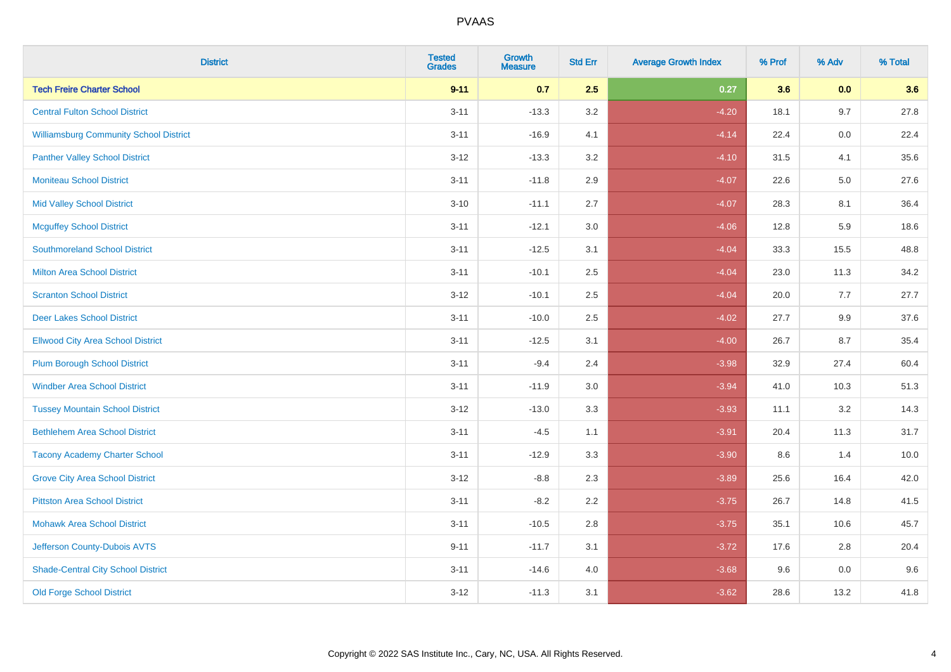| <b>District</b>                               | <b>Tested</b><br><b>Grades</b> | <b>Growth</b><br><b>Measure</b> | <b>Std Err</b> | <b>Average Growth Index</b> | % Prof | % Adv | % Total |
|-----------------------------------------------|--------------------------------|---------------------------------|----------------|-----------------------------|--------|-------|---------|
| <b>Tech Freire Charter School</b>             | $9 - 11$                       | 0.7                             | 2.5            | 0.27                        | 3.6    | 0.0   | 3.6     |
| <b>Central Fulton School District</b>         | $3 - 11$                       | $-13.3$                         | 3.2            | $-4.20$                     | 18.1   | 9.7   | 27.8    |
| <b>Williamsburg Community School District</b> | $3 - 11$                       | $-16.9$                         | 4.1            | $-4.14$                     | 22.4   | 0.0   | 22.4    |
| <b>Panther Valley School District</b>         | $3 - 12$                       | $-13.3$                         | 3.2            | $-4.10$                     | 31.5   | 4.1   | 35.6    |
| <b>Moniteau School District</b>               | $3 - 11$                       | $-11.8$                         | 2.9            | $-4.07$                     | 22.6   | 5.0   | 27.6    |
| <b>Mid Valley School District</b>             | $3 - 10$                       | $-11.1$                         | 2.7            | $-4.07$                     | 28.3   | 8.1   | 36.4    |
| <b>Mcguffey School District</b>               | $3 - 11$                       | $-12.1$                         | 3.0            | $-4.06$                     | 12.8   | 5.9   | 18.6    |
| <b>Southmoreland School District</b>          | $3 - 11$                       | $-12.5$                         | 3.1            | $-4.04$                     | 33.3   | 15.5  | 48.8    |
| <b>Milton Area School District</b>            | $3 - 11$                       | $-10.1$                         | 2.5            | $-4.04$                     | 23.0   | 11.3  | 34.2    |
| <b>Scranton School District</b>               | $3 - 12$                       | $-10.1$                         | 2.5            | $-4.04$                     | 20.0   | 7.7   | 27.7    |
| <b>Deer Lakes School District</b>             | $3 - 11$                       | $-10.0$                         | 2.5            | $-4.02$                     | 27.7   | 9.9   | 37.6    |
| <b>Ellwood City Area School District</b>      | $3 - 11$                       | $-12.5$                         | 3.1            | $-4.00$                     | 26.7   | 8.7   | 35.4    |
| <b>Plum Borough School District</b>           | $3 - 11$                       | $-9.4$                          | 2.4            | $-3.98$                     | 32.9   | 27.4  | 60.4    |
| <b>Windber Area School District</b>           | $3 - 11$                       | $-11.9$                         | 3.0            | $-3.94$                     | 41.0   | 10.3  | 51.3    |
| <b>Tussey Mountain School District</b>        | $3 - 12$                       | $-13.0$                         | 3.3            | $-3.93$                     | 11.1   | 3.2   | 14.3    |
| <b>Bethlehem Area School District</b>         | $3 - 11$                       | $-4.5$                          | 1.1            | $-3.91$                     | 20.4   | 11.3  | 31.7    |
| <b>Tacony Academy Charter School</b>          | $3 - 11$                       | $-12.9$                         | 3.3            | $-3.90$                     | 8.6    | 1.4   | 10.0    |
| <b>Grove City Area School District</b>        | $3 - 12$                       | $-8.8$                          | 2.3            | $-3.89$                     | 25.6   | 16.4  | 42.0    |
| <b>Pittston Area School District</b>          | $3 - 11$                       | $-8.2$                          | 2.2            | $-3.75$                     | 26.7   | 14.8  | 41.5    |
| <b>Mohawk Area School District</b>            | $3 - 11$                       | $-10.5$                         | 2.8            | $-3.75$                     | 35.1   | 10.6  | 45.7    |
| Jefferson County-Dubois AVTS                  | $9 - 11$                       | $-11.7$                         | 3.1            | $-3.72$                     | 17.6   | 2.8   | 20.4    |
| <b>Shade-Central City School District</b>     | $3 - 11$                       | $-14.6$                         | 4.0            | $-3.68$                     | 9.6    | 0.0   | 9.6     |
| <b>Old Forge School District</b>              | $3 - 12$                       | $-11.3$                         | 3.1            | $-3.62$                     | 28.6   | 13.2  | 41.8    |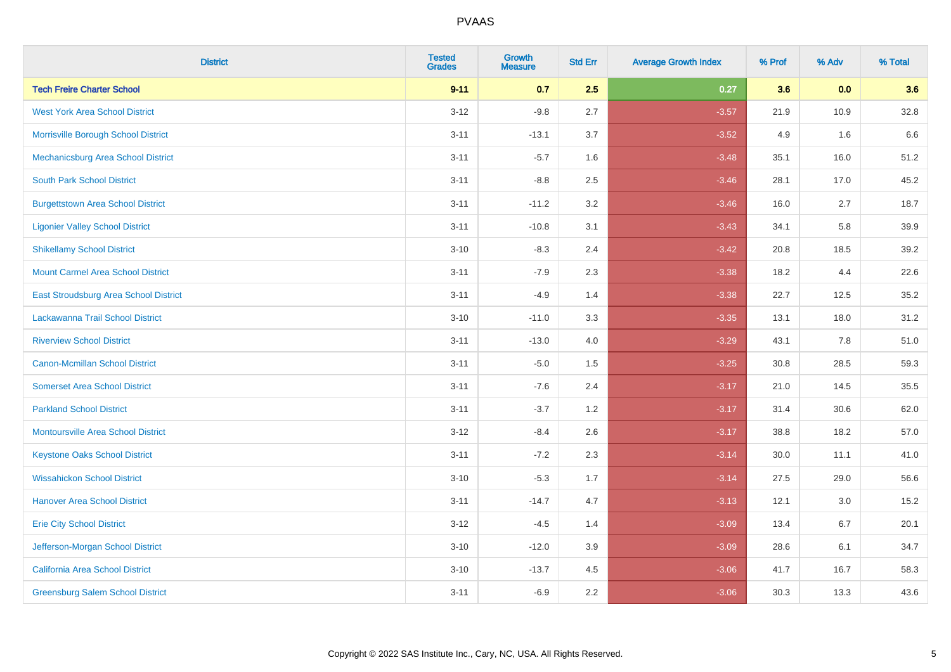| <b>District</b>                           | <b>Tested</b><br><b>Grades</b> | <b>Growth</b><br><b>Measure</b> | <b>Std Err</b> | <b>Average Growth Index</b> | % Prof | % Adv | % Total |
|-------------------------------------------|--------------------------------|---------------------------------|----------------|-----------------------------|--------|-------|---------|
| <b>Tech Freire Charter School</b>         | $9 - 11$                       | 0.7                             | 2.5            | 0.27                        | 3.6    | 0.0   | 3.6     |
| <b>West York Area School District</b>     | $3 - 12$                       | $-9.8$                          | 2.7            | $-3.57$                     | 21.9   | 10.9  | 32.8    |
| Morrisville Borough School District       | $3 - 11$                       | $-13.1$                         | 3.7            | $-3.52$                     | 4.9    | 1.6   | 6.6     |
| Mechanicsburg Area School District        | $3 - 11$                       | $-5.7$                          | 1.6            | $-3.48$                     | 35.1   | 16.0  | 51.2    |
| <b>South Park School District</b>         | $3 - 11$                       | $-8.8$                          | 2.5            | $-3.46$                     | 28.1   | 17.0  | 45.2    |
| <b>Burgettstown Area School District</b>  | $3 - 11$                       | $-11.2$                         | 3.2            | $-3.46$                     | 16.0   | 2.7   | 18.7    |
| <b>Ligonier Valley School District</b>    | $3 - 11$                       | $-10.8$                         | 3.1            | $-3.43$                     | 34.1   | 5.8   | 39.9    |
| <b>Shikellamy School District</b>         | $3 - 10$                       | $-8.3$                          | 2.4            | $-3.42$                     | 20.8   | 18.5  | 39.2    |
| <b>Mount Carmel Area School District</b>  | $3 - 11$                       | $-7.9$                          | 2.3            | $-3.38$                     | 18.2   | 4.4   | 22.6    |
| East Stroudsburg Area School District     | $3 - 11$                       | $-4.9$                          | 1.4            | $-3.38$                     | 22.7   | 12.5  | 35.2    |
| Lackawanna Trail School District          | $3 - 10$                       | $-11.0$                         | 3.3            | $-3.35$                     | 13.1   | 18.0  | 31.2    |
| <b>Riverview School District</b>          | $3 - 11$                       | $-13.0$                         | 4.0            | $-3.29$                     | 43.1   | 7.8   | 51.0    |
| Canon-Mcmillan School District            | $3 - 11$                       | $-5.0$                          | 1.5            | $-3.25$                     | 30.8   | 28.5  | 59.3    |
| <b>Somerset Area School District</b>      | $3 - 11$                       | $-7.6$                          | 2.4            | $-3.17$                     | 21.0   | 14.5  | 35.5    |
| <b>Parkland School District</b>           | $3 - 11$                       | $-3.7$                          | 1.2            | $-3.17$                     | 31.4   | 30.6  | 62.0    |
| <b>Montoursville Area School District</b> | $3 - 12$                       | $-8.4$                          | 2.6            | $-3.17$                     | 38.8   | 18.2  | 57.0    |
| <b>Keystone Oaks School District</b>      | $3 - 11$                       | $-7.2$                          | 2.3            | $-3.14$                     | 30.0   | 11.1  | 41.0    |
| <b>Wissahickon School District</b>        | $3 - 10$                       | $-5.3$                          | 1.7            | $-3.14$                     | 27.5   | 29.0  | 56.6    |
| <b>Hanover Area School District</b>       | $3 - 11$                       | $-14.7$                         | 4.7            | $-3.13$                     | 12.1   | 3.0   | 15.2    |
| <b>Erie City School District</b>          | $3 - 12$                       | $-4.5$                          | 1.4            | $-3.09$                     | 13.4   | 6.7   | 20.1    |
| Jefferson-Morgan School District          | $3 - 10$                       | $-12.0$                         | 3.9            | $-3.09$                     | 28.6   | 6.1   | 34.7    |
| California Area School District           | $3 - 10$                       | $-13.7$                         | 4.5            | $-3.06$                     | 41.7   | 16.7  | 58.3    |
| <b>Greensburg Salem School District</b>   | $3 - 11$                       | $-6.9$                          | 2.2            | $-3.06$                     | 30.3   | 13.3  | 43.6    |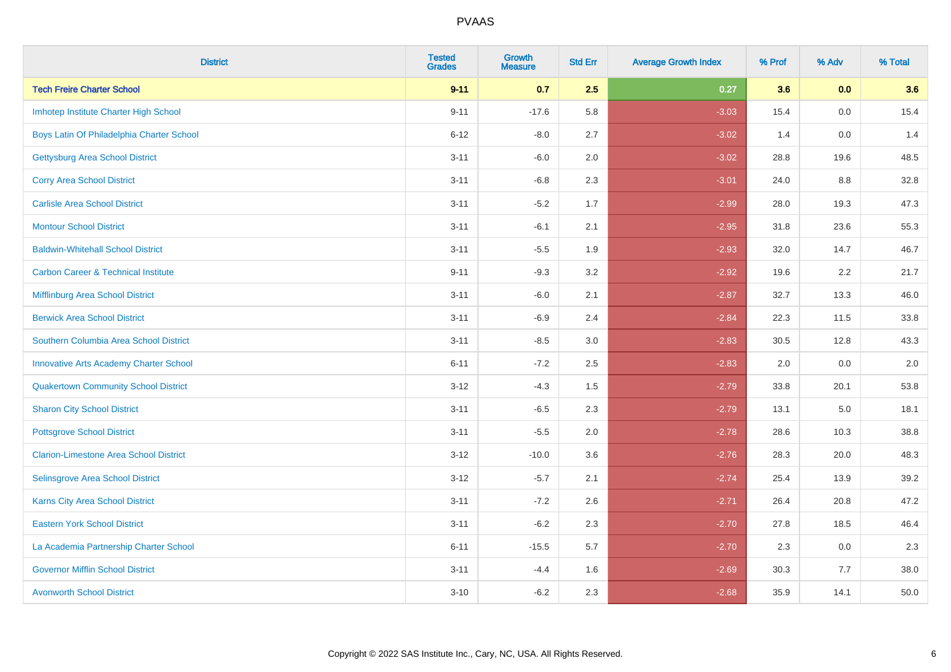| <b>District</b>                                | <b>Tested</b><br><b>Grades</b> | <b>Growth</b><br><b>Measure</b> | <b>Std Err</b> | <b>Average Growth Index</b> | % Prof | % Adv | % Total |
|------------------------------------------------|--------------------------------|---------------------------------|----------------|-----------------------------|--------|-------|---------|
| <b>Tech Freire Charter School</b>              | $9 - 11$                       | 0.7                             | 2.5            | 0.27                        | 3.6    | 0.0   | 3.6     |
| Imhotep Institute Charter High School          | $9 - 11$                       | $-17.6$                         | 5.8            | $-3.03$                     | 15.4   | 0.0   | 15.4    |
| Boys Latin Of Philadelphia Charter School      | $6 - 12$                       | $-8.0$                          | 2.7            | $-3.02$                     | 1.4    | 0.0   | 1.4     |
| <b>Gettysburg Area School District</b>         | $3 - 11$                       | $-6.0$                          | 2.0            | $-3.02$                     | 28.8   | 19.6  | 48.5    |
| <b>Corry Area School District</b>              | $3 - 11$                       | $-6.8$                          | 2.3            | $-3.01$                     | 24.0   | 8.8   | 32.8    |
| <b>Carlisle Area School District</b>           | $3 - 11$                       | $-5.2$                          | 1.7            | $-2.99$                     | 28.0   | 19.3  | 47.3    |
| <b>Montour School District</b>                 | $3 - 11$                       | $-6.1$                          | 2.1            | $-2.95$                     | 31.8   | 23.6  | 55.3    |
| <b>Baldwin-Whitehall School District</b>       | $3 - 11$                       | $-5.5$                          | 1.9            | $-2.93$                     | 32.0   | 14.7  | 46.7    |
| <b>Carbon Career &amp; Technical Institute</b> | $9 - 11$                       | $-9.3$                          | 3.2            | $-2.92$                     | 19.6   | 2.2   | 21.7    |
| <b>Mifflinburg Area School District</b>        | $3 - 11$                       | $-6.0$                          | 2.1            | $-2.87$                     | 32.7   | 13.3  | 46.0    |
| <b>Berwick Area School District</b>            | $3 - 11$                       | $-6.9$                          | 2.4            | $-2.84$                     | 22.3   | 11.5  | 33.8    |
| Southern Columbia Area School District         | $3 - 11$                       | $-8.5$                          | 3.0            | $-2.83$                     | 30.5   | 12.8  | 43.3    |
| <b>Innovative Arts Academy Charter School</b>  | $6 - 11$                       | $-7.2$                          | 2.5            | $-2.83$                     | 2.0    | 0.0   | $2.0\,$ |
| <b>Quakertown Community School District</b>    | $3 - 12$                       | $-4.3$                          | $1.5\,$        | $-2.79$                     | 33.8   | 20.1  | 53.8    |
| <b>Sharon City School District</b>             | $3 - 11$                       | $-6.5$                          | 2.3            | $-2.79$                     | 13.1   | 5.0   | 18.1    |
| <b>Pottsgrove School District</b>              | $3 - 11$                       | $-5.5$                          | 2.0            | $-2.78$                     | 28.6   | 10.3  | 38.8    |
| <b>Clarion-Limestone Area School District</b>  | $3 - 12$                       | $-10.0$                         | 3.6            | $-2.76$                     | 28.3   | 20.0  | 48.3    |
| Selinsgrove Area School District               | $3 - 12$                       | $-5.7$                          | 2.1            | $-2.74$                     | 25.4   | 13.9  | 39.2    |
| <b>Karns City Area School District</b>         | $3 - 11$                       | $-7.2$                          | 2.6            | $-2.71$                     | 26.4   | 20.8  | 47.2    |
| <b>Eastern York School District</b>            | $3 - 11$                       | $-6.2$                          | 2.3            | $-2.70$                     | 27.8   | 18.5  | 46.4    |
| La Academia Partnership Charter School         | $6 - 11$                       | $-15.5$                         | 5.7            | $-2.70$                     | 2.3    | 0.0   | 2.3     |
| <b>Governor Mifflin School District</b>        | $3 - 11$                       | $-4.4$                          | 1.6            | $-2.69$                     | 30.3   | 7.7   | 38.0    |
| <b>Avonworth School District</b>               | $3 - 10$                       | $-6.2$                          | 2.3            | $-2.68$                     | 35.9   | 14.1  | 50.0    |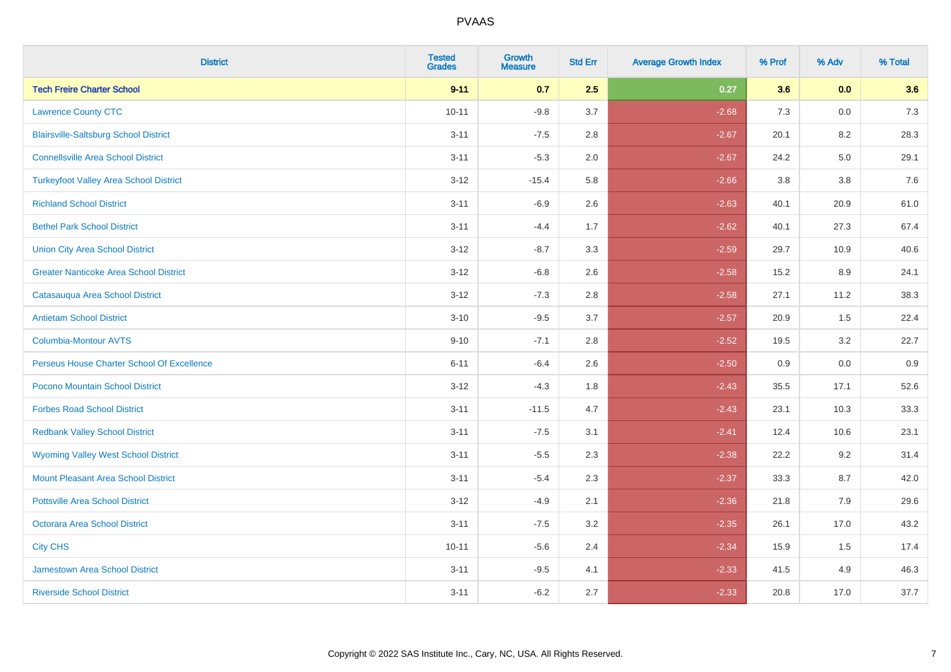| <b>District</b>                               | <b>Tested</b><br><b>Grades</b> | <b>Growth</b><br><b>Measure</b> | <b>Std Err</b> | <b>Average Growth Index</b> | % Prof | % Adv   | % Total |
|-----------------------------------------------|--------------------------------|---------------------------------|----------------|-----------------------------|--------|---------|---------|
| <b>Tech Freire Charter School</b>             | $9 - 11$                       | 0.7                             | 2.5            | 0.27                        | 3.6    | 0.0     | 3.6     |
| <b>Lawrence County CTC</b>                    | $10 - 11$                      | $-9.8$                          | 3.7            | $-2.68$                     | 7.3    | 0.0     | 7.3     |
| <b>Blairsville-Saltsburg School District</b>  | $3 - 11$                       | $-7.5$                          | 2.8            | $-2.67$                     | 20.1   | 8.2     | 28.3    |
| <b>Connellsville Area School District</b>     | $3 - 11$                       | $-5.3$                          | 2.0            | $-2.67$                     | 24.2   | $5.0\,$ | 29.1    |
| <b>Turkeyfoot Valley Area School District</b> | $3 - 12$                       | $-15.4$                         | 5.8            | $-2.66$                     | 3.8    | 3.8     | 7.6     |
| <b>Richland School District</b>               | $3 - 11$                       | $-6.9$                          | 2.6            | $-2.63$                     | 40.1   | 20.9    | 61.0    |
| <b>Bethel Park School District</b>            | $3 - 11$                       | $-4.4$                          | 1.7            | $-2.62$                     | 40.1   | 27.3    | 67.4    |
| <b>Union City Area School District</b>        | $3 - 12$                       | $-8.7$                          | 3.3            | $-2.59$                     | 29.7   | 10.9    | 40.6    |
| <b>Greater Nanticoke Area School District</b> | $3 - 12$                       | $-6.8$                          | 2.6            | $-2.58$                     | 15.2   | 8.9     | 24.1    |
| Catasauqua Area School District               | $3 - 12$                       | $-7.3$                          | $2.8\,$        | $-2.58$                     | 27.1   | 11.2    | 38.3    |
| <b>Antietam School District</b>               | $3 - 10$                       | $-9.5$                          | 3.7            | $-2.57$                     | 20.9   | 1.5     | 22.4    |
| <b>Columbia-Montour AVTS</b>                  | $9 - 10$                       | $-7.1$                          | 2.8            | $-2.52$                     | 19.5   | 3.2     | 22.7    |
| Perseus House Charter School Of Excellence    | $6 - 11$                       | $-6.4$                          | 2.6            | $-2.50$                     | 0.9    | 0.0     | 0.9     |
| Pocono Mountain School District               | $3 - 12$                       | $-4.3$                          | 1.8            | $-2.43$                     | 35.5   | 17.1    | 52.6    |
| <b>Forbes Road School District</b>            | $3 - 11$                       | $-11.5$                         | 4.7            | $-2.43$                     | 23.1   | 10.3    | 33.3    |
| <b>Redbank Valley School District</b>         | $3 - 11$                       | $-7.5$                          | 3.1            | $-2.41$                     | 12.4   | 10.6    | 23.1    |
| <b>Wyoming Valley West School District</b>    | $3 - 11$                       | $-5.5$                          | 2.3            | $-2.38$                     | 22.2   | 9.2     | 31.4    |
| <b>Mount Pleasant Area School District</b>    | $3 - 11$                       | $-5.4$                          | 2.3            | $-2.37$                     | 33.3   | 8.7     | 42.0    |
| <b>Pottsville Area School District</b>        | $3 - 12$                       | $-4.9$                          | 2.1            | $-2.36$                     | 21.8   | 7.9     | 29.6    |
| Octorara Area School District                 | $3 - 11$                       | $-7.5$                          | 3.2            | $-2.35$                     | 26.1   | 17.0    | 43.2    |
| <b>City CHS</b>                               | $10 - 11$                      | $-5.6$                          | 2.4            | $-2.34$                     | 15.9   | 1.5     | 17.4    |
| <b>Jamestown Area School District</b>         | $3 - 11$                       | $-9.5$                          | 4.1            | $-2.33$                     | 41.5   | 4.9     | 46.3    |
| <b>Riverside School District</b>              | $3 - 11$                       | $-6.2$                          | 2.7            | $-2.33$                     | 20.8   | 17.0    | 37.7    |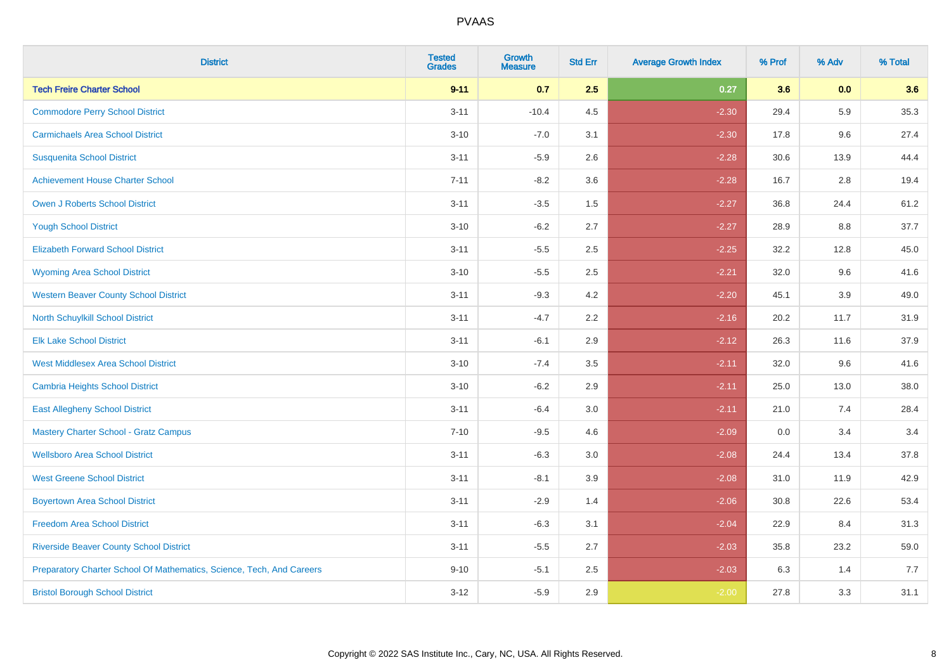| <b>District</b>                                                       | <b>Tested</b><br><b>Grades</b> | <b>Growth</b><br><b>Measure</b> | <b>Std Err</b> | <b>Average Growth Index</b> | % Prof | % Adv   | % Total |
|-----------------------------------------------------------------------|--------------------------------|---------------------------------|----------------|-----------------------------|--------|---------|---------|
| <b>Tech Freire Charter School</b>                                     | $9 - 11$                       | 0.7                             | 2.5            | 0.27                        | 3.6    | 0.0     | 3.6     |
| <b>Commodore Perry School District</b>                                | $3 - 11$                       | $-10.4$                         | 4.5            | $-2.30$                     | 29.4   | 5.9     | 35.3    |
| <b>Carmichaels Area School District</b>                               | $3 - 10$                       | $-7.0$                          | 3.1            | $-2.30$                     | 17.8   | 9.6     | 27.4    |
| <b>Susquenita School District</b>                                     | $3 - 11$                       | $-5.9$                          | 2.6            | $-2.28$                     | 30.6   | 13.9    | 44.4    |
| <b>Achievement House Charter School</b>                               | $7 - 11$                       | $-8.2$                          | 3.6            | $-2.28$                     | 16.7   | 2.8     | 19.4    |
| <b>Owen J Roberts School District</b>                                 | $3 - 11$                       | $-3.5$                          | 1.5            | $-2.27$                     | 36.8   | 24.4    | 61.2    |
| <b>Yough School District</b>                                          | $3 - 10$                       | $-6.2$                          | 2.7            | $-2.27$                     | 28.9   | $8.8\,$ | 37.7    |
| <b>Elizabeth Forward School District</b>                              | $3 - 11$                       | $-5.5$                          | 2.5            | $-2.25$                     | 32.2   | 12.8    | 45.0    |
| <b>Wyoming Area School District</b>                                   | $3 - 10$                       | $-5.5$                          | 2.5            | $-2.21$                     | 32.0   | 9.6     | 41.6    |
| <b>Western Beaver County School District</b>                          | $3 - 11$                       | $-9.3$                          | 4.2            | $-2.20$                     | 45.1   | 3.9     | 49.0    |
| North Schuylkill School District                                      | $3 - 11$                       | $-4.7$                          | 2.2            | $-2.16$                     | 20.2   | 11.7    | 31.9    |
| <b>Elk Lake School District</b>                                       | $3 - 11$                       | $-6.1$                          | 2.9            | $-2.12$                     | 26.3   | 11.6    | 37.9    |
| <b>West Middlesex Area School District</b>                            | $3 - 10$                       | $-7.4$                          | $3.5\,$        | $-2.11$                     | 32.0   | 9.6     | 41.6    |
| Cambria Heights School District                                       | $3 - 10$                       | $-6.2$                          | 2.9            | $-2.11$                     | 25.0   | 13.0    | 38.0    |
| <b>East Allegheny School District</b>                                 | $3 - 11$                       | $-6.4$                          | 3.0            | $-2.11$                     | 21.0   | 7.4     | 28.4    |
| <b>Mastery Charter School - Gratz Campus</b>                          | $7 - 10$                       | $-9.5$                          | 4.6            | $-2.09$                     | 0.0    | 3.4     | 3.4     |
| <b>Wellsboro Area School District</b>                                 | $3 - 11$                       | $-6.3$                          | 3.0            | $-2.08$                     | 24.4   | 13.4    | 37.8    |
| <b>West Greene School District</b>                                    | $3 - 11$                       | $-8.1$                          | 3.9            | $-2.08$                     | 31.0   | 11.9    | 42.9    |
| <b>Boyertown Area School District</b>                                 | $3 - 11$                       | $-2.9$                          | 1.4            | $-2.06$                     | 30.8   | 22.6    | 53.4    |
| <b>Freedom Area School District</b>                                   | $3 - 11$                       | $-6.3$                          | 3.1            | $-2.04$                     | 22.9   | 8.4     | 31.3    |
| <b>Riverside Beaver County School District</b>                        | $3 - 11$                       | $-5.5$                          | 2.7            | $-2.03$                     | 35.8   | 23.2    | 59.0    |
| Preparatory Charter School Of Mathematics, Science, Tech, And Careers | $9 - 10$                       | $-5.1$                          | 2.5            | $-2.03$                     | 6.3    | 1.4     | 7.7     |
| <b>Bristol Borough School District</b>                                | $3 - 12$                       | $-5.9$                          | 2.9            | $-2.00$                     | 27.8   | 3.3     | 31.1    |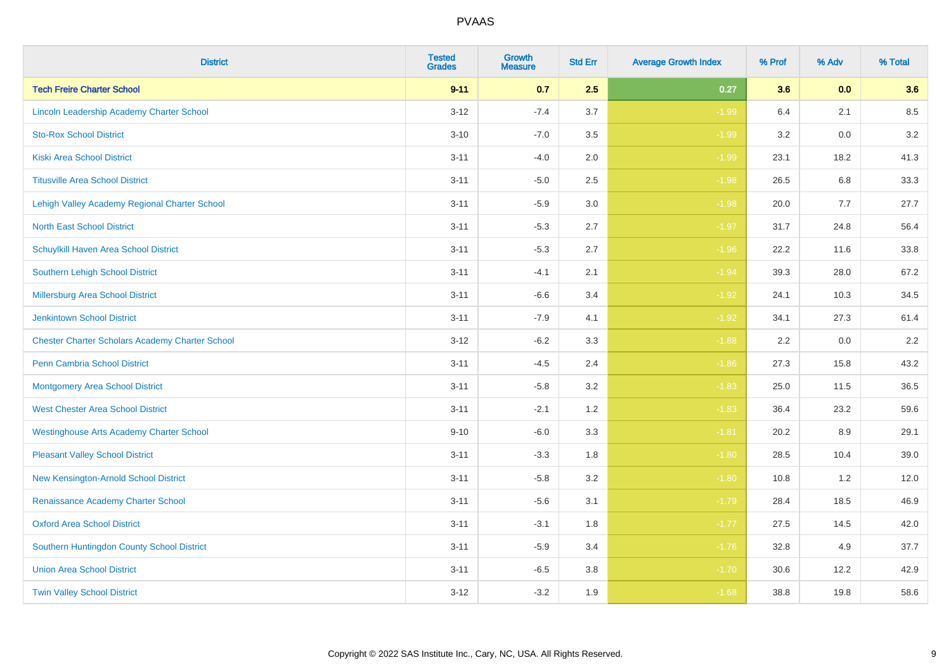| <b>District</b>                                        | <b>Tested</b><br><b>Grades</b> | <b>Growth</b><br><b>Measure</b> | <b>Std Err</b> | <b>Average Growth Index</b> | % Prof | % Adv | % Total |
|--------------------------------------------------------|--------------------------------|---------------------------------|----------------|-----------------------------|--------|-------|---------|
| <b>Tech Freire Charter School</b>                      | $9 - 11$                       | 0.7                             | 2.5            | 0.27                        | 3.6    | 0.0   | 3.6     |
| Lincoln Leadership Academy Charter School              | $3 - 12$                       | $-7.4$                          | 3.7            | $-1.99$                     | 6.4    | 2.1   | 8.5     |
| <b>Sto-Rox School District</b>                         | $3 - 10$                       | $-7.0$                          | 3.5            | $-1.99$                     | 3.2    | 0.0   | 3.2     |
| <b>Kiski Area School District</b>                      | $3 - 11$                       | $-4.0$                          | 2.0            | $-1.99$                     | 23.1   | 18.2  | 41.3    |
| <b>Titusville Area School District</b>                 | $3 - 11$                       | $-5.0$                          | 2.5            | $-1.98$                     | 26.5   | 6.8   | 33.3    |
| Lehigh Valley Academy Regional Charter School          | $3 - 11$                       | $-5.9$                          | 3.0            | $-1.98$                     | 20.0   | 7.7   | 27.7    |
| <b>North East School District</b>                      | $3 - 11$                       | $-5.3$                          | 2.7            | $-1.97$                     | 31.7   | 24.8  | 56.4    |
| Schuylkill Haven Area School District                  | $3 - 11$                       | $-5.3$                          | 2.7            | $-1.96$                     | 22.2   | 11.6  | 33.8    |
| <b>Southern Lehigh School District</b>                 | $3 - 11$                       | $-4.1$                          | 2.1            | $-1.94$                     | 39.3   | 28.0  | 67.2    |
| Millersburg Area School District                       | $3 - 11$                       | $-6.6$                          | 3.4            | $-1.92$                     | 24.1   | 10.3  | 34.5    |
| <b>Jenkintown School District</b>                      | $3 - 11$                       | $-7.9$                          | 4.1            | $-1.92$                     | 34.1   | 27.3  | 61.4    |
| <b>Chester Charter Scholars Academy Charter School</b> | $3 - 12$                       | $-6.2$                          | 3.3            | $-1.88$                     | 2.2    | 0.0   | 2.2     |
| Penn Cambria School District                           | $3 - 11$                       | $-4.5$                          | 2.4            | $-1.86$                     | 27.3   | 15.8  | 43.2    |
| <b>Montgomery Area School District</b>                 | $3 - 11$                       | $-5.8$                          | 3.2            | $-1.83$                     | 25.0   | 11.5  | 36.5    |
| <b>West Chester Area School District</b>               | $3 - 11$                       | $-2.1$                          | 1.2            | $-1.83$                     | 36.4   | 23.2  | 59.6    |
| <b>Westinghouse Arts Academy Charter School</b>        | $9 - 10$                       | $-6.0$                          | 3.3            | $-1.81$                     | 20.2   | 8.9   | 29.1    |
| <b>Pleasant Valley School District</b>                 | $3 - 11$                       | $-3.3$                          | 1.8            | $-1.80$                     | 28.5   | 10.4  | 39.0    |
| New Kensington-Arnold School District                  | $3 - 11$                       | $-5.8$                          | 3.2            | $-1.80$                     | 10.8   | 1.2   | 12.0    |
| Renaissance Academy Charter School                     | $3 - 11$                       | $-5.6$                          | 3.1            | $-1.79$                     | 28.4   | 18.5  | 46.9    |
| <b>Oxford Area School District</b>                     | $3 - 11$                       | $-3.1$                          | 1.8            | $-1.77$                     | 27.5   | 14.5  | 42.0    |
| Southern Huntingdon County School District             | $3 - 11$                       | $-5.9$                          | 3.4            | $-1.76$                     | 32.8   | 4.9   | 37.7    |
| <b>Union Area School District</b>                      | $3 - 11$                       | $-6.5$                          | 3.8            | $-1.70$                     | 30.6   | 12.2  | 42.9    |
| <b>Twin Valley School District</b>                     | $3 - 12$                       | $-3.2$                          | 1.9            | $-1.68$                     | 38.8   | 19.8  | 58.6    |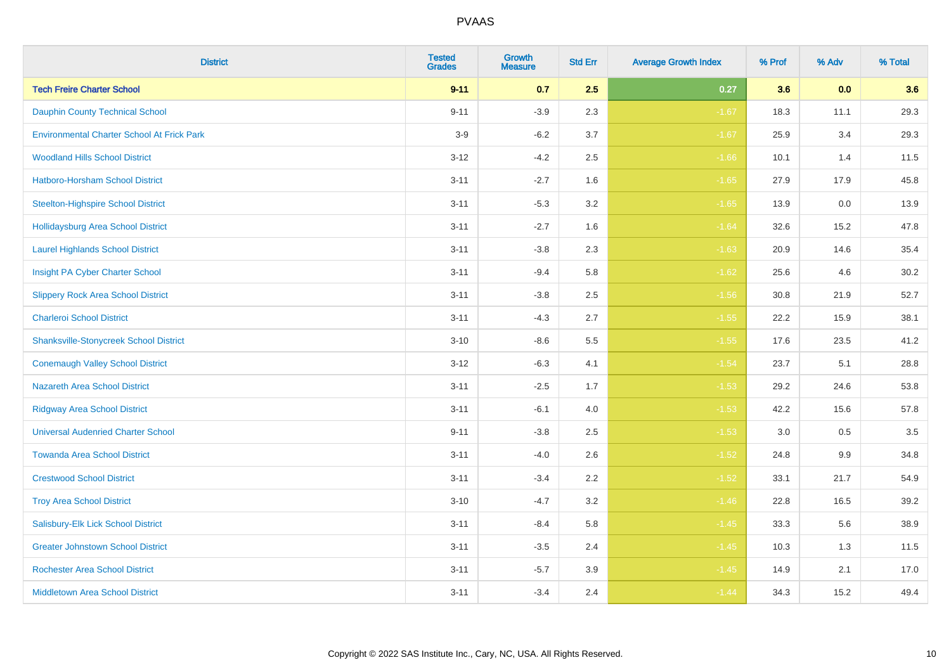| <b>District</b>                                   | <b>Tested</b><br><b>Grades</b> | <b>Growth</b><br><b>Measure</b> | <b>Std Err</b> | <b>Average Growth Index</b> | % Prof | % Adv | % Total |
|---------------------------------------------------|--------------------------------|---------------------------------|----------------|-----------------------------|--------|-------|---------|
| <b>Tech Freire Charter School</b>                 | $9 - 11$                       | 0.7                             | 2.5            | 0.27                        | 3.6    | 0.0   | 3.6     |
| <b>Dauphin County Technical School</b>            | $9 - 11$                       | $-3.9$                          | 2.3            | $-1.67$                     | 18.3   | 11.1  | 29.3    |
| <b>Environmental Charter School At Frick Park</b> | $3-9$                          | $-6.2$                          | 3.7            | $-1.67$                     | 25.9   | 3.4   | 29.3    |
| <b>Woodland Hills School District</b>             | $3 - 12$                       | $-4.2$                          | 2.5            | $-1.66$                     | 10.1   | 1.4   | 11.5    |
| Hatboro-Horsham School District                   | $3 - 11$                       | $-2.7$                          | 1.6            | $-1.65$                     | 27.9   | 17.9  | 45.8    |
| <b>Steelton-Highspire School District</b>         | $3 - 11$                       | $-5.3$                          | 3.2            | $-1.65$                     | 13.9   | 0.0   | 13.9    |
| <b>Hollidaysburg Area School District</b>         | $3 - 11$                       | $-2.7$                          | 1.6            | $-1.64$                     | 32.6   | 15.2  | 47.8    |
| <b>Laurel Highlands School District</b>           | $3 - 11$                       | $-3.8$                          | 2.3            | $-1.63$                     | 20.9   | 14.6  | 35.4    |
| Insight PA Cyber Charter School                   | $3 - 11$                       | $-9.4$                          | 5.8            | $-1.62$                     | 25.6   | 4.6   | 30.2    |
| <b>Slippery Rock Area School District</b>         | $3 - 11$                       | $-3.8$                          | 2.5            | $-1.56$                     | 30.8   | 21.9  | 52.7    |
| <b>Charleroi School District</b>                  | $3 - 11$                       | $-4.3$                          | 2.7            | $-1.55$                     | 22.2   | 15.9  | 38.1    |
| <b>Shanksville-Stonycreek School District</b>     | $3 - 10$                       | $-8.6$                          | 5.5            | $-1.55$                     | 17.6   | 23.5  | 41.2    |
| <b>Conemaugh Valley School District</b>           | $3 - 12$                       | $-6.3$                          | 4.1            | $-1.54$                     | 23.7   | 5.1   | 28.8    |
| <b>Nazareth Area School District</b>              | $3 - 11$                       | $-2.5$                          | 1.7            | $-1.53$                     | 29.2   | 24.6  | 53.8    |
| <b>Ridgway Area School District</b>               | $3 - 11$                       | $-6.1$                          | 4.0            | $-1.53$                     | 42.2   | 15.6  | 57.8    |
| <b>Universal Audenried Charter School</b>         | $9 - 11$                       | $-3.8$                          | 2.5            | $-1.53$                     | 3.0    | 0.5   | 3.5     |
| <b>Towanda Area School District</b>               | $3 - 11$                       | $-4.0$                          | 2.6            | $-1.52$                     | 24.8   | 9.9   | 34.8    |
| <b>Crestwood School District</b>                  | $3 - 11$                       | $-3.4$                          | 2.2            | $-1.52$                     | 33.1   | 21.7  | 54.9    |
| <b>Troy Area School District</b>                  | $3 - 10$                       | $-4.7$                          | 3.2            | $-1.46$                     | 22.8   | 16.5  | 39.2    |
| Salisbury-Elk Lick School District                | $3 - 11$                       | $-8.4$                          | 5.8            | $-1.45$                     | 33.3   | 5.6   | 38.9    |
| <b>Greater Johnstown School District</b>          | $3 - 11$                       | $-3.5$                          | 2.4            | $-1.45$                     | 10.3   | 1.3   | 11.5    |
| <b>Rochester Area School District</b>             | $3 - 11$                       | $-5.7$                          | 3.9            | $-1.45$                     | 14.9   | 2.1   | 17.0    |
| <b>Middletown Area School District</b>            | $3 - 11$                       | $-3.4$                          | 2.4            | $-1.44$                     | 34.3   | 15.2  | 49.4    |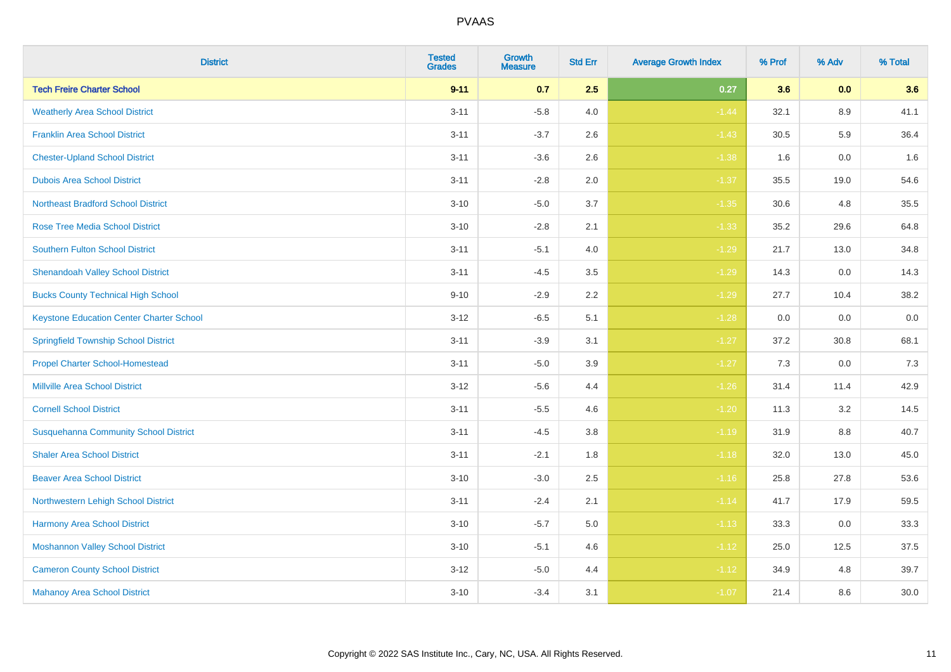| <b>District</b>                                 | <b>Tested</b><br><b>Grades</b> | Growth<br><b>Measure</b> | <b>Std Err</b> | <b>Average Growth Index</b> | % Prof | % Adv | % Total |
|-------------------------------------------------|--------------------------------|--------------------------|----------------|-----------------------------|--------|-------|---------|
| <b>Tech Freire Charter School</b>               | $9 - 11$                       | 0.7                      | 2.5            | 0.27                        | 3.6    | 0.0   | 3.6     |
| <b>Weatherly Area School District</b>           | $3 - 11$                       | $-5.8$                   | 4.0            | $-1.44$                     | 32.1   | 8.9   | 41.1    |
| <b>Franklin Area School District</b>            | $3 - 11$                       | $-3.7$                   | 2.6            | $-1.43$                     | 30.5   | 5.9   | 36.4    |
| <b>Chester-Upland School District</b>           | $3 - 11$                       | $-3.6$                   | 2.6            | $-1.38$                     | 1.6    | 0.0   | 1.6     |
| <b>Dubois Area School District</b>              | $3 - 11$                       | $-2.8$                   | 2.0            | $-1.37$                     | 35.5   | 19.0  | 54.6    |
| <b>Northeast Bradford School District</b>       | $3 - 10$                       | $-5.0$                   | 3.7            | $-1.35$                     | 30.6   | 4.8   | 35.5    |
| <b>Rose Tree Media School District</b>          | $3 - 10$                       | $-2.8$                   | 2.1            | $-1.33$                     | 35.2   | 29.6  | 64.8    |
| <b>Southern Fulton School District</b>          | $3 - 11$                       | $-5.1$                   | 4.0            | $-1.29$                     | 21.7   | 13.0  | 34.8    |
| <b>Shenandoah Valley School District</b>        | $3 - 11$                       | $-4.5$                   | 3.5            | $-1.29$                     | 14.3   | 0.0   | 14.3    |
| <b>Bucks County Technical High School</b>       | $9 - 10$                       | $-2.9$                   | $2.2\,$        | $-1.29$                     | 27.7   | 10.4  | 38.2    |
| <b>Keystone Education Center Charter School</b> | $3 - 12$                       | $-6.5$                   | 5.1            | $-1.28$                     | 0.0    | 0.0   | $0.0\,$ |
| <b>Springfield Township School District</b>     | $3 - 11$                       | $-3.9$                   | 3.1            | $-1.27$                     | 37.2   | 30.8  | 68.1    |
| <b>Propel Charter School-Homestead</b>          | $3 - 11$                       | $-5.0$                   | 3.9            | $-1.27$                     | 7.3    | 0.0   | 7.3     |
| <b>Millville Area School District</b>           | $3 - 12$                       | $-5.6$                   | 4.4            | $-1.26$                     | 31.4   | 11.4  | 42.9    |
| <b>Cornell School District</b>                  | $3 - 11$                       | $-5.5$                   | 4.6            | $-1.20$                     | 11.3   | 3.2   | 14.5    |
| <b>Susquehanna Community School District</b>    | $3 - 11$                       | $-4.5$                   | 3.8            | $-1.19$                     | 31.9   | 8.8   | 40.7    |
| <b>Shaler Area School District</b>              | $3 - 11$                       | $-2.1$                   | 1.8            | $-1.18$                     | 32.0   | 13.0  | 45.0    |
| <b>Beaver Area School District</b>              | $3 - 10$                       | $-3.0$                   | 2.5            | $-1.16$                     | 25.8   | 27.8  | 53.6    |
| Northwestern Lehigh School District             | $3 - 11$                       | $-2.4$                   | 2.1            | $-1.14$                     | 41.7   | 17.9  | 59.5    |
| Harmony Area School District                    | $3 - 10$                       | $-5.7$                   | 5.0            | $-1.13$                     | 33.3   | 0.0   | 33.3    |
| <b>Moshannon Valley School District</b>         | $3 - 10$                       | $-5.1$                   | 4.6            | $-1.12$                     | 25.0   | 12.5  | 37.5    |
| <b>Cameron County School District</b>           | $3 - 12$                       | $-5.0$                   | 4.4            | $-1.12$                     | 34.9   | 4.8   | 39.7    |
| <b>Mahanoy Area School District</b>             | $3 - 10$                       | $-3.4$                   | 3.1            | $-1.07$                     | 21.4   | 8.6   | 30.0    |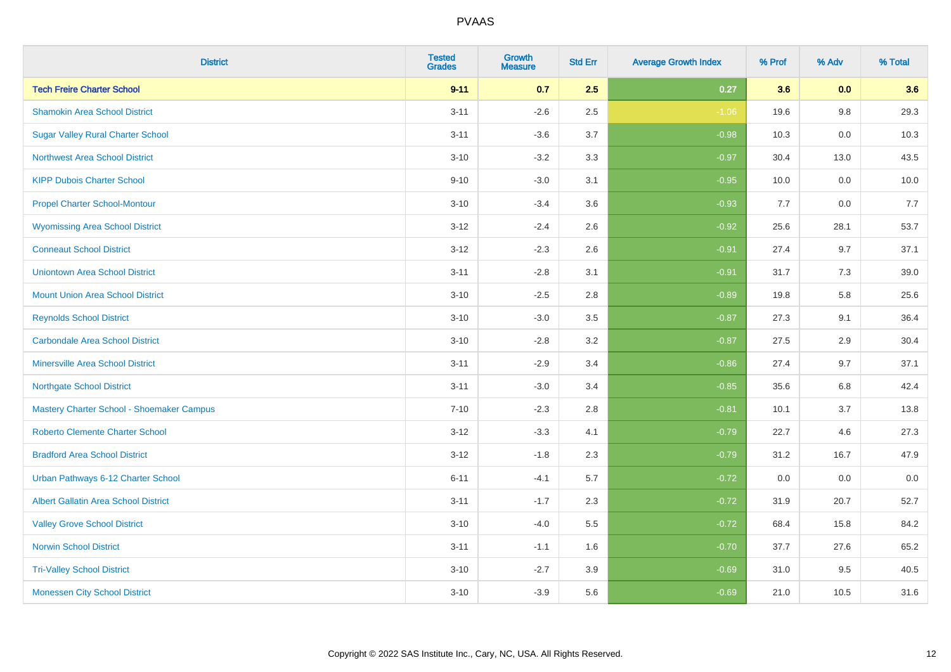| <b>District</b>                             | <b>Tested</b><br><b>Grades</b> | <b>Growth</b><br><b>Measure</b> | <b>Std Err</b> | <b>Average Growth Index</b> | % Prof | % Adv   | % Total |
|---------------------------------------------|--------------------------------|---------------------------------|----------------|-----------------------------|--------|---------|---------|
| <b>Tech Freire Charter School</b>           | $9 - 11$                       | 0.7                             | 2.5            | 0.27                        | 3.6    | 0.0     | 3.6     |
| <b>Shamokin Area School District</b>        | $3 - 11$                       | $-2.6$                          | 2.5            | $-1.06$                     | 19.6   | $9.8\,$ | 29.3    |
| <b>Sugar Valley Rural Charter School</b>    | $3 - 11$                       | $-3.6$                          | 3.7            | $-0.98$                     | 10.3   | 0.0     | 10.3    |
| <b>Northwest Area School District</b>       | $3 - 10$                       | $-3.2$                          | 3.3            | $-0.97$                     | 30.4   | 13.0    | 43.5    |
| <b>KIPP Dubois Charter School</b>           | $9 - 10$                       | $-3.0$                          | 3.1            | $-0.95$                     | 10.0   | 0.0     | 10.0    |
| <b>Propel Charter School-Montour</b>        | $3 - 10$                       | $-3.4$                          | 3.6            | $-0.93$                     | 7.7    | 0.0     | 7.7     |
| <b>Wyomissing Area School District</b>      | $3 - 12$                       | $-2.4$                          | 2.6            | $-0.92$                     | 25.6   | 28.1    | 53.7    |
| <b>Conneaut School District</b>             | $3 - 12$                       | $-2.3$                          | 2.6            | $-0.91$                     | 27.4   | 9.7     | 37.1    |
| <b>Uniontown Area School District</b>       | $3 - 11$                       | $-2.8$                          | 3.1            | $-0.91$                     | 31.7   | 7.3     | 39.0    |
| <b>Mount Union Area School District</b>     | $3 - 10$                       | $-2.5$                          | 2.8            | $-0.89$                     | 19.8   | 5.8     | 25.6    |
| <b>Reynolds School District</b>             | $3 - 10$                       | $-3.0$                          | 3.5            | $-0.87$                     | 27.3   | 9.1     | 36.4    |
| <b>Carbondale Area School District</b>      | $3 - 10$                       | $-2.8$                          | 3.2            | $-0.87$                     | 27.5   | 2.9     | 30.4    |
| <b>Minersville Area School District</b>     | $3 - 11$                       | $-2.9$                          | 3.4            | $-0.86$                     | 27.4   | 9.7     | 37.1    |
| <b>Northgate School District</b>            | $3 - 11$                       | $-3.0$                          | 3.4            | $-0.85$                     | 35.6   | 6.8     | 42.4    |
| Mastery Charter School - Shoemaker Campus   | $7 - 10$                       | $-2.3$                          | 2.8            | $-0.81$                     | 10.1   | 3.7     | 13.8    |
| <b>Roberto Clemente Charter School</b>      | $3 - 12$                       | $-3.3$                          | 4.1            | $-0.79$                     | 22.7   | 4.6     | 27.3    |
| <b>Bradford Area School District</b>        | $3 - 12$                       | $-1.8$                          | 2.3            | $-0.79$                     | 31.2   | 16.7    | 47.9    |
| Urban Pathways 6-12 Charter School          | $6 - 11$                       | $-4.1$                          | 5.7            | $-0.72$                     | 0.0    | 0.0     | $0.0\,$ |
| <b>Albert Gallatin Area School District</b> | $3 - 11$                       | $-1.7$                          | 2.3            | $-0.72$                     | 31.9   | 20.7    | 52.7    |
| <b>Valley Grove School District</b>         | $3 - 10$                       | $-4.0$                          | 5.5            | $-0.72$                     | 68.4   | 15.8    | 84.2    |
| <b>Norwin School District</b>               | $3 - 11$                       | $-1.1$                          | 1.6            | $-0.70$                     | 37.7   | 27.6    | 65.2    |
| <b>Tri-Valley School District</b>           | $3 - 10$                       | $-2.7$                          | 3.9            | $-0.69$                     | 31.0   | 9.5     | 40.5    |
| <b>Monessen City School District</b>        | $3 - 10$                       | $-3.9$                          | 5.6            | $-0.69$                     | 21.0   | 10.5    | 31.6    |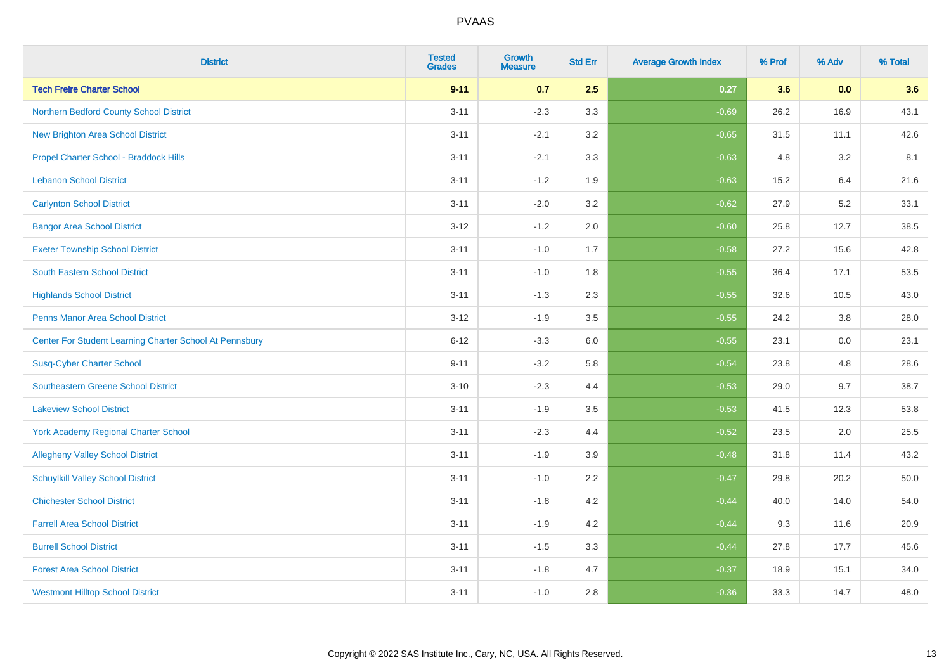| <b>District</b>                                         | <b>Tested</b><br><b>Grades</b> | <b>Growth</b><br><b>Measure</b> | <b>Std Err</b> | <b>Average Growth Index</b> | % Prof | % Adv | % Total |
|---------------------------------------------------------|--------------------------------|---------------------------------|----------------|-----------------------------|--------|-------|---------|
| <b>Tech Freire Charter School</b>                       | $9 - 11$                       | 0.7                             | 2.5            | 0.27                        | 3.6    | 0.0   | 3.6     |
| Northern Bedford County School District                 | $3 - 11$                       | $-2.3$                          | 3.3            | $-0.69$                     | 26.2   | 16.9  | 43.1    |
| <b>New Brighton Area School District</b>                | $3 - 11$                       | $-2.1$                          | 3.2            | $-0.65$                     | 31.5   | 11.1  | 42.6    |
| Propel Charter School - Braddock Hills                  | $3 - 11$                       | $-2.1$                          | 3.3            | $-0.63$                     | 4.8    | 3.2   | 8.1     |
| <b>Lebanon School District</b>                          | $3 - 11$                       | $-1.2$                          | 1.9            | $-0.63$                     | 15.2   | 6.4   | 21.6    |
| <b>Carlynton School District</b>                        | $3 - 11$                       | $-2.0$                          | 3.2            | $-0.62$                     | 27.9   | 5.2   | 33.1    |
| <b>Bangor Area School District</b>                      | $3 - 12$                       | $-1.2$                          | 2.0            | $-0.60$                     | 25.8   | 12.7  | 38.5    |
| <b>Exeter Township School District</b>                  | $3 - 11$                       | $-1.0$                          | 1.7            | $-0.58$                     | 27.2   | 15.6  | 42.8    |
| <b>South Eastern School District</b>                    | $3 - 11$                       | $-1.0$                          | 1.8            | $-0.55$                     | 36.4   | 17.1  | 53.5    |
| <b>Highlands School District</b>                        | $3 - 11$                       | $-1.3$                          | 2.3            | $-0.55$                     | 32.6   | 10.5  | 43.0    |
| <b>Penns Manor Area School District</b>                 | $3 - 12$                       | $-1.9$                          | 3.5            | $-0.55$                     | 24.2   | 3.8   | 28.0    |
| Center For Student Learning Charter School At Pennsbury | $6 - 12$                       | $-3.3$                          | 6.0            | $-0.55$                     | 23.1   | 0.0   | 23.1    |
| <b>Susq-Cyber Charter School</b>                        | $9 - 11$                       | $-3.2$                          | 5.8            | $-0.54$                     | 23.8   | 4.8   | 28.6    |
| Southeastern Greene School District                     | $3 - 10$                       | $-2.3$                          | 4.4            | $-0.53$                     | 29.0   | 9.7   | 38.7    |
| <b>Lakeview School District</b>                         | $3 - 11$                       | $-1.9$                          | 3.5            | $-0.53$                     | 41.5   | 12.3  | 53.8    |
| <b>York Academy Regional Charter School</b>             | $3 - 11$                       | $-2.3$                          | 4.4            | $-0.52$                     | 23.5   | 2.0   | 25.5    |
| <b>Allegheny Valley School District</b>                 | $3 - 11$                       | $-1.9$                          | 3.9            | $-0.48$                     | 31.8   | 11.4  | 43.2    |
| <b>Schuylkill Valley School District</b>                | $3 - 11$                       | $-1.0$                          | 2.2            | $-0.47$                     | 29.8   | 20.2  | 50.0    |
| <b>Chichester School District</b>                       | $3 - 11$                       | $-1.8$                          | 4.2            | $-0.44$                     | 40.0   | 14.0  | 54.0    |
| <b>Farrell Area School District</b>                     | $3 - 11$                       | $-1.9$                          | 4.2            | $-0.44$                     | 9.3    | 11.6  | 20.9    |
| <b>Burrell School District</b>                          | $3 - 11$                       | $-1.5$                          | 3.3            | $-0.44$                     | 27.8   | 17.7  | 45.6    |
| <b>Forest Area School District</b>                      | $3 - 11$                       | $-1.8$                          | 4.7            | $-0.37$                     | 18.9   | 15.1  | 34.0    |
| <b>Westmont Hilltop School District</b>                 | $3 - 11$                       | $-1.0$                          | 2.8            | $-0.36$                     | 33.3   | 14.7  | 48.0    |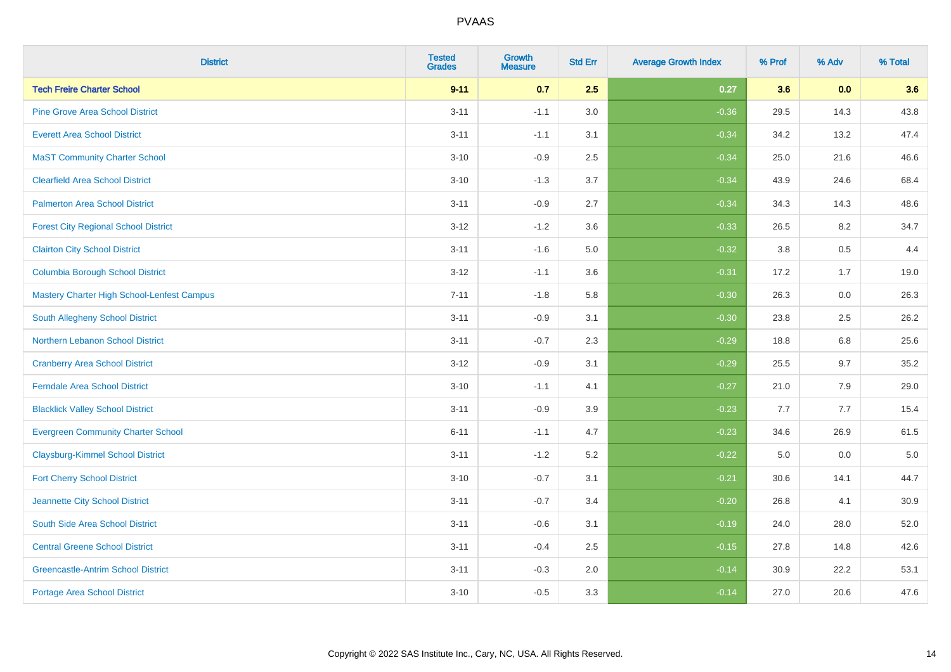| <b>District</b>                             | <b>Tested</b><br><b>Grades</b> | Growth<br><b>Measure</b> | <b>Std Err</b> | <b>Average Growth Index</b> | % Prof | % Adv | % Total |
|---------------------------------------------|--------------------------------|--------------------------|----------------|-----------------------------|--------|-------|---------|
| <b>Tech Freire Charter School</b>           | $9 - 11$                       | 0.7                      | 2.5            | 0.27                        | 3.6    | 0.0   | 3.6     |
| <b>Pine Grove Area School District</b>      | $3 - 11$                       | $-1.1$                   | 3.0            | $-0.36$                     | 29.5   | 14.3  | 43.8    |
| <b>Everett Area School District</b>         | $3 - 11$                       | $-1.1$                   | 3.1            | $-0.34$                     | 34.2   | 13.2  | 47.4    |
| <b>MaST Community Charter School</b>        | $3 - 10$                       | $-0.9$                   | 2.5            | $-0.34$                     | 25.0   | 21.6  | 46.6    |
| <b>Clearfield Area School District</b>      | $3 - 10$                       | $-1.3$                   | 3.7            | $-0.34$                     | 43.9   | 24.6  | 68.4    |
| <b>Palmerton Area School District</b>       | $3 - 11$                       | $-0.9$                   | 2.7            | $-0.34$                     | 34.3   | 14.3  | 48.6    |
| <b>Forest City Regional School District</b> | $3 - 12$                       | $-1.2$                   | 3.6            | $-0.33$                     | 26.5   | 8.2   | 34.7    |
| <b>Clairton City School District</b>        | $3 - 11$                       | $-1.6$                   | $5.0\,$        | $-0.32$                     | 3.8    | 0.5   | 4.4     |
| <b>Columbia Borough School District</b>     | $3 - 12$                       | $-1.1$                   | 3.6            | $-0.31$                     | 17.2   | 1.7   | 19.0    |
| Mastery Charter High School-Lenfest Campus  | $7 - 11$                       | $-1.8$                   | 5.8            | $-0.30$                     | 26.3   | 0.0   | 26.3    |
| South Allegheny School District             | $3 - 11$                       | $-0.9$                   | 3.1            | $-0.30$                     | 23.8   | 2.5   | 26.2    |
| Northern Lebanon School District            | $3 - 11$                       | $-0.7$                   | 2.3            | $-0.29$                     | 18.8   | 6.8   | 25.6    |
| <b>Cranberry Area School District</b>       | $3 - 12$                       | $-0.9$                   | 3.1            | $-0.29$                     | 25.5   | 9.7   | 35.2    |
| <b>Ferndale Area School District</b>        | $3 - 10$                       | $-1.1$                   | 4.1            | $-0.27$                     | 21.0   | 7.9   | 29.0    |
| <b>Blacklick Valley School District</b>     | $3 - 11$                       | $-0.9$                   | 3.9            | $-0.23$                     | 7.7    | 7.7   | 15.4    |
| <b>Evergreen Community Charter School</b>   | $6 - 11$                       | $-1.1$                   | 4.7            | $-0.23$                     | 34.6   | 26.9  | 61.5    |
| <b>Claysburg-Kimmel School District</b>     | $3 - 11$                       | $-1.2$                   | 5.2            | $-0.22$                     | 5.0    | 0.0   | $5.0$   |
| <b>Fort Cherry School District</b>          | $3 - 10$                       | $-0.7$                   | 3.1            | $-0.21$                     | 30.6   | 14.1  | 44.7    |
| Jeannette City School District              | $3 - 11$                       | $-0.7$                   | 3.4            | $-0.20$                     | 26.8   | 4.1   | 30.9    |
| South Side Area School District             | $3 - 11$                       | $-0.6$                   | 3.1            | $-0.19$                     | 24.0   | 28.0  | 52.0    |
| <b>Central Greene School District</b>       | $3 - 11$                       | $-0.4$                   | 2.5            | $-0.15$                     | 27.8   | 14.8  | 42.6    |
| <b>Greencastle-Antrim School District</b>   | $3 - 11$                       | $-0.3$                   | 2.0            | $-0.14$                     | 30.9   | 22.2  | 53.1    |
| <b>Portage Area School District</b>         | $3 - 10$                       | $-0.5$                   | 3.3            | $-0.14$                     | 27.0   | 20.6  | 47.6    |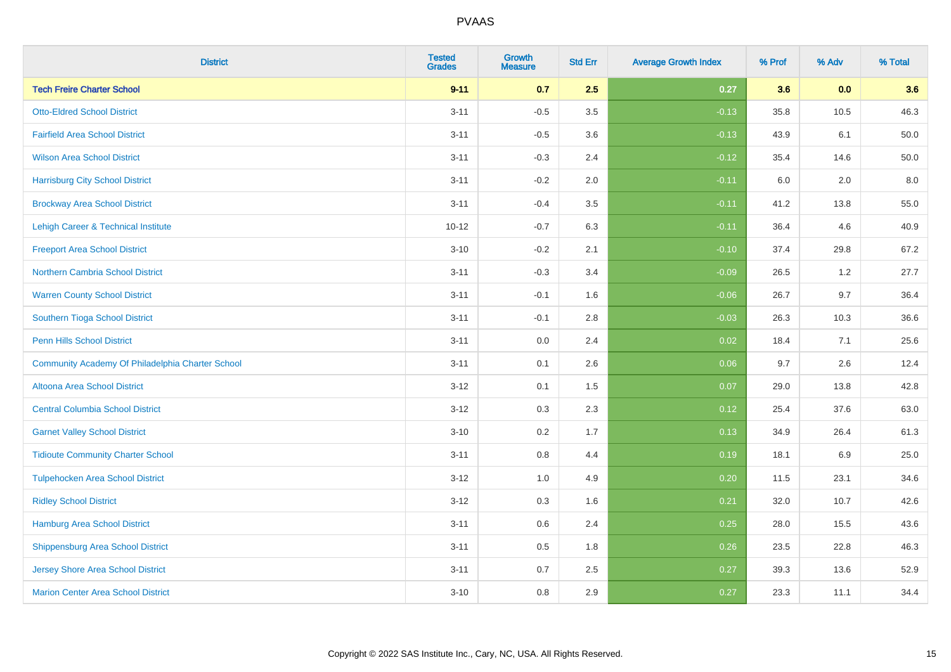| <b>District</b>                                  | <b>Tested</b><br><b>Grades</b> | <b>Growth</b><br><b>Measure</b> | <b>Std Err</b> | <b>Average Growth Index</b> | % Prof | % Adv   | % Total |
|--------------------------------------------------|--------------------------------|---------------------------------|----------------|-----------------------------|--------|---------|---------|
| <b>Tech Freire Charter School</b>                | $9 - 11$                       | 0.7                             | 2.5            | 0.27                        | 3.6    | 0.0     | 3.6     |
| <b>Otto-Eldred School District</b>               | $3 - 11$                       | $-0.5$                          | $3.5\,$        | $-0.13$                     | 35.8   | 10.5    | 46.3    |
| <b>Fairfield Area School District</b>            | $3 - 11$                       | $-0.5$                          | 3.6            | $-0.13$                     | 43.9   | 6.1     | 50.0    |
| <b>Wilson Area School District</b>               | $3 - 11$                       | $-0.3$                          | 2.4            | $-0.12$                     | 35.4   | 14.6    | 50.0    |
| <b>Harrisburg City School District</b>           | $3 - 11$                       | $-0.2$                          | 2.0            | $-0.11$                     | 6.0    | 2.0     | 8.0     |
| <b>Brockway Area School District</b>             | $3 - 11$                       | $-0.4$                          | 3.5            | $-0.11$                     | 41.2   | 13.8    | 55.0    |
| Lehigh Career & Technical Institute              | $10 - 12$                      | $-0.7$                          | 6.3            | $-0.11$                     | 36.4   | 4.6     | 40.9    |
| <b>Freeport Area School District</b>             | $3 - 10$                       | $-0.2$                          | 2.1            | $-0.10$                     | 37.4   | 29.8    | 67.2    |
| Northern Cambria School District                 | $3 - 11$                       | $-0.3$                          | 3.4            | $-0.09$                     | 26.5   | 1.2     | 27.7    |
| <b>Warren County School District</b>             | $3 - 11$                       | $-0.1$                          | 1.6            | $-0.06$                     | 26.7   | 9.7     | 36.4    |
| Southern Tioga School District                   | $3 - 11$                       | $-0.1$                          | 2.8            | $-0.03$                     | 26.3   | 10.3    | 36.6    |
| <b>Penn Hills School District</b>                | $3 - 11$                       | 0.0                             | 2.4            | 0.02                        | 18.4   | 7.1     | 25.6    |
| Community Academy Of Philadelphia Charter School | $3 - 11$                       | 0.1                             | 2.6            | 0.06                        | 9.7    | $2.6\,$ | 12.4    |
| Altoona Area School District                     | $3 - 12$                       | 0.1                             | 1.5            | 0.07                        | 29.0   | 13.8    | 42.8    |
| <b>Central Columbia School District</b>          | $3 - 12$                       | 0.3                             | 2.3            | 0.12                        | 25.4   | 37.6    | 63.0    |
| <b>Garnet Valley School District</b>             | $3 - 10$                       | 0.2                             | 1.7            | 0.13                        | 34.9   | 26.4    | 61.3    |
| <b>Tidioute Community Charter School</b>         | $3 - 11$                       | 0.8                             | 4.4            | 0.19                        | 18.1   | 6.9     | 25.0    |
| <b>Tulpehocken Area School District</b>          | $3 - 12$                       | 1.0                             | 4.9            | 0.20                        | 11.5   | 23.1    | 34.6    |
| <b>Ridley School District</b>                    | $3 - 12$                       | $0.3\,$                         | 1.6            | 0.21                        | 32.0   | 10.7    | 42.6    |
| Hamburg Area School District                     | $3 - 11$                       | 0.6                             | 2.4            | 0.25                        | 28.0   | 15.5    | 43.6    |
| <b>Shippensburg Area School District</b>         | $3 - 11$                       | 0.5                             | 1.8            | 0.26                        | 23.5   | 22.8    | 46.3    |
| <b>Jersey Shore Area School District</b>         | $3 - 11$                       | 0.7                             | 2.5            | 0.27                        | 39.3   | 13.6    | 52.9    |
| <b>Marion Center Area School District</b>        | $3 - 10$                       | 0.8                             | 2.9            | 0.27                        | 23.3   | 11.1    | 34.4    |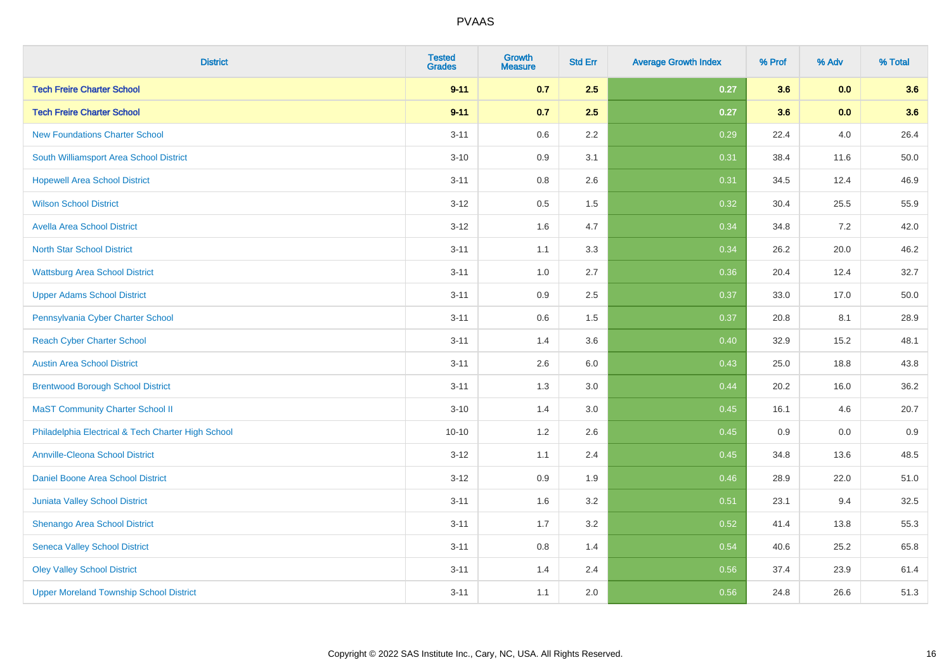| <b>District</b>                                    | <b>Tested</b><br><b>Grades</b> | <b>Growth</b><br><b>Measure</b> | <b>Std Err</b> | <b>Average Growth Index</b> | % Prof | % Adv   | % Total |
|----------------------------------------------------|--------------------------------|---------------------------------|----------------|-----------------------------|--------|---------|---------|
| <b>Tech Freire Charter School</b>                  | $9 - 11$                       | 0.7                             | 2.5            | 0.27                        | 3.6    | 0.0     | 3.6     |
| <b>Tech Freire Charter School</b>                  | $9 - 11$                       | 0.7                             | 2.5            | 0.27                        | 3.6    | 0.0     | 3.6     |
| <b>New Foundations Charter School</b>              | $3 - 11$                       | 0.6                             | 2.2            | 0.29                        | 22.4   | 4.0     | 26.4    |
| South Williamsport Area School District            | $3 - 10$                       | 0.9                             | 3.1            | 0.31                        | 38.4   | 11.6    | 50.0    |
| <b>Hopewell Area School District</b>               | $3 - 11$                       | 0.8                             | 2.6            | 0.31                        | 34.5   | 12.4    | 46.9    |
| <b>Wilson School District</b>                      | $3 - 12$                       | 0.5                             | 1.5            | 0.32                        | 30.4   | 25.5    | 55.9    |
| <b>Avella Area School District</b>                 | $3-12$                         | 1.6                             | 4.7            | 0.34                        | 34.8   | $7.2\,$ | 42.0    |
| <b>North Star School District</b>                  | $3 - 11$                       | 1.1                             | 3.3            | 0.34                        | 26.2   | 20.0    | 46.2    |
| <b>Wattsburg Area School District</b>              | $3 - 11$                       | 1.0                             | 2.7            | 0.36                        | 20.4   | 12.4    | 32.7    |
| <b>Upper Adams School District</b>                 | $3 - 11$                       | 0.9                             | 2.5            | 0.37                        | 33.0   | 17.0    | 50.0    |
| Pennsylvania Cyber Charter School                  | $3 - 11$                       | 0.6                             | 1.5            | 0.37                        | 20.8   | 8.1     | 28.9    |
| <b>Reach Cyber Charter School</b>                  | $3 - 11$                       | 1.4                             | 3.6            | 0.40                        | 32.9   | 15.2    | 48.1    |
| <b>Austin Area School District</b>                 | $3 - 11$                       | 2.6                             | $6.0\,$        | 0.43                        | 25.0   | 18.8    | 43.8    |
| <b>Brentwood Borough School District</b>           | $3 - 11$                       | 1.3                             | 3.0            | 0.44                        | 20.2   | 16.0    | 36.2    |
| <b>MaST Community Charter School II</b>            | $3 - 10$                       | 1.4                             | 3.0            | 0.45                        | 16.1   | 4.6     | 20.7    |
| Philadelphia Electrical & Tech Charter High School | $10 - 10$                      | $1.2$                           | 2.6            | 0.45                        | 0.9    | $0.0\,$ | 0.9     |
| <b>Annville-Cleona School District</b>             | $3-12$                         | 1.1                             | 2.4            | 0.45                        | 34.8   | 13.6    | 48.5    |
| Daniel Boone Area School District                  | $3 - 12$                       | 0.9                             | 1.9            | 0.46                        | 28.9   | 22.0    | 51.0    |
| Juniata Valley School District                     | $3 - 11$                       | 1.6                             | 3.2            | 0.51                        | 23.1   | 9.4     | 32.5    |
| Shenango Area School District                      | $3 - 11$                       | 1.7                             | 3.2            | 0.52                        | 41.4   | 13.8    | 55.3    |
| <b>Seneca Valley School District</b>               | $3 - 11$                       | 0.8                             | 1.4            | 0.54                        | 40.6   | 25.2    | 65.8    |
| <b>Oley Valley School District</b>                 | $3 - 11$                       | 1.4                             | 2.4            | 0.56                        | 37.4   | 23.9    | 61.4    |
| <b>Upper Moreland Township School District</b>     | $3 - 11$                       | 1.1                             | 2.0            | 0.56                        | 24.8   | 26.6    | 51.3    |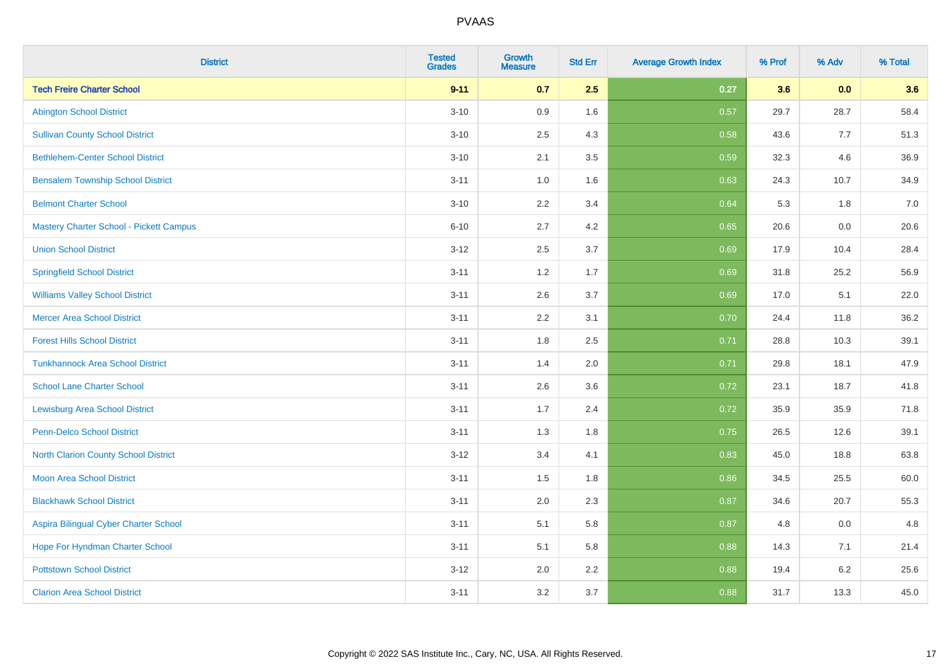| <b>District</b>                          | <b>Tested</b><br><b>Grades</b> | <b>Growth</b><br><b>Measure</b> | <b>Std Err</b> | <b>Average Growth Index</b> | % Prof | % Adv | % Total |
|------------------------------------------|--------------------------------|---------------------------------|----------------|-----------------------------|--------|-------|---------|
| <b>Tech Freire Charter School</b>        | $9 - 11$                       | 0.7                             | 2.5            | 0.27                        | 3.6    | 0.0   | 3.6     |
| <b>Abington School District</b>          | $3 - 10$                       | 0.9                             | 1.6            | 0.57                        | 29.7   | 28.7  | 58.4    |
| <b>Sullivan County School District</b>   | $3 - 10$                       | 2.5                             | 4.3            | 0.58                        | 43.6   | 7.7   | 51.3    |
| <b>Bethlehem-Center School District</b>  | $3 - 10$                       | 2.1                             | 3.5            | 0.59                        | 32.3   | 4.6   | 36.9    |
| <b>Bensalem Township School District</b> | $3 - 11$                       | 1.0                             | 1.6            | 0.63                        | 24.3   | 10.7  | 34.9    |
| <b>Belmont Charter School</b>            | $3 - 10$                       | 2.2                             | 3.4            | 0.64                        | 5.3    | 1.8   | 7.0     |
| Mastery Charter School - Pickett Campus  | $6 - 10$                       | 2.7                             | 4.2            | 0.65                        | 20.6   | 0.0   | 20.6    |
| <b>Union School District</b>             | $3 - 12$                       | 2.5                             | 3.7            | 0.69                        | 17.9   | 10.4  | 28.4    |
| <b>Springfield School District</b>       | $3 - 11$                       | 1.2                             | 1.7            | 0.69                        | 31.8   | 25.2  | 56.9    |
| <b>Williams Valley School District</b>   | $3 - 11$                       | 2.6                             | 3.7            | 0.69                        | 17.0   | 5.1   | 22.0    |
| <b>Mercer Area School District</b>       | $3 - 11$                       | 2.2                             | 3.1            | 0.70                        | 24.4   | 11.8  | 36.2    |
| <b>Forest Hills School District</b>      | $3 - 11$                       | 1.8                             | 2.5            | 0.71                        | 28.8   | 10.3  | 39.1    |
| <b>Tunkhannock Area School District</b>  | $3 - 11$                       | 1.4                             | 2.0            | 0.71                        | 29.8   | 18.1  | 47.9    |
| <b>School Lane Charter School</b>        | $3 - 11$                       | 2.6                             | 3.6            | 0.72                        | 23.1   | 18.7  | 41.8    |
| <b>Lewisburg Area School District</b>    | $3 - 11$                       | 1.7                             | 2.4            | 0.72                        | 35.9   | 35.9  | 71.8    |
| Penn-Delco School District               | $3 - 11$                       | 1.3                             | 1.8            | 0.75                        | 26.5   | 12.6  | 39.1    |
| North Clarion County School District     | $3 - 12$                       | 3.4                             | 4.1            | 0.83                        | 45.0   | 18.8  | 63.8    |
| <b>Moon Area School District</b>         | $3 - 11$                       | 1.5                             | 1.8            | 0.86                        | 34.5   | 25.5  | 60.0    |
| <b>Blackhawk School District</b>         | $3 - 11$                       | 2.0                             | 2.3            | 0.87                        | 34.6   | 20.7  | 55.3    |
| Aspira Bilingual Cyber Charter School    | $3 - 11$                       | 5.1                             | 5.8            | 0.87                        | 4.8    | 0.0   | 4.8     |
| Hope For Hyndman Charter School          | $3 - 11$                       | 5.1                             | 5.8            | 0.88                        | 14.3   | 7.1   | 21.4    |
| <b>Pottstown School District</b>         | $3-12$                         | 2.0                             | 2.2            | 0.88                        | 19.4   | 6.2   | 25.6    |
| <b>Clarion Area School District</b>      | $3 - 11$                       | 3.2                             | 3.7            | 0.88                        | 31.7   | 13.3  | 45.0    |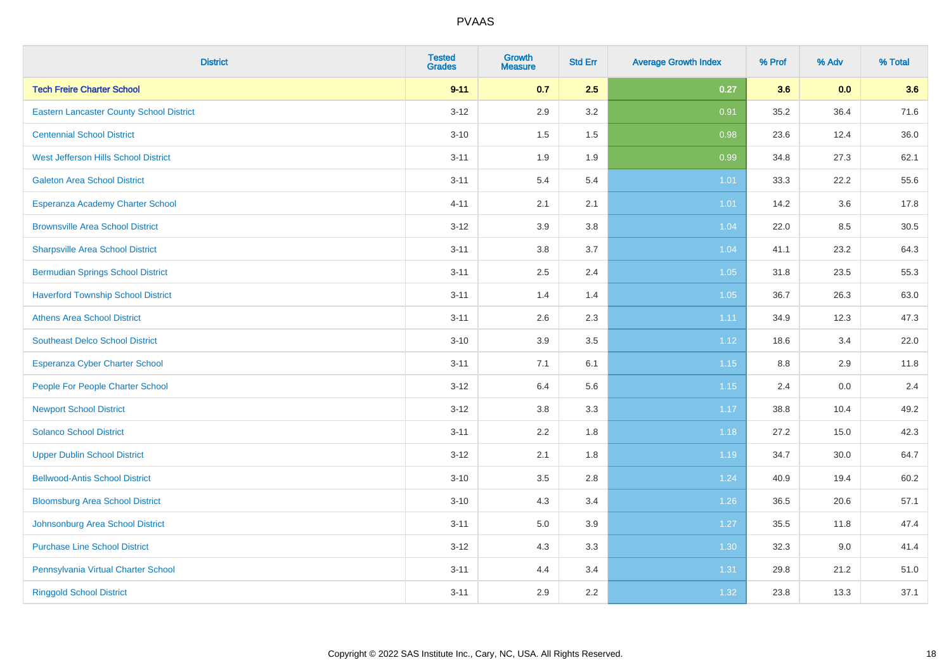| <b>District</b>                                 | <b>Tested</b><br><b>Grades</b> | <b>Growth</b><br><b>Measure</b> | <b>Std Err</b> | <b>Average Growth Index</b> | % Prof  | % Adv | % Total |
|-------------------------------------------------|--------------------------------|---------------------------------|----------------|-----------------------------|---------|-------|---------|
| <b>Tech Freire Charter School</b>               | $9 - 11$                       | 0.7                             | 2.5            | 0.27                        | 3.6     | 0.0   | 3.6     |
| <b>Eastern Lancaster County School District</b> | $3 - 12$                       | 2.9                             | 3.2            | 0.91                        | 35.2    | 36.4  | 71.6    |
| <b>Centennial School District</b>               | $3 - 10$                       | 1.5                             | 1.5            | 0.98                        | 23.6    | 12.4  | 36.0    |
| West Jefferson Hills School District            | $3 - 11$                       | 1.9                             | 1.9            | 0.99                        | 34.8    | 27.3  | 62.1    |
| <b>Galeton Area School District</b>             | $3 - 11$                       | 5.4                             | 5.4            | 1.01                        | 33.3    | 22.2  | 55.6    |
| Esperanza Academy Charter School                | $4 - 11$                       | 2.1                             | 2.1            | $1.01$                      | 14.2    | 3.6   | 17.8    |
| <b>Brownsville Area School District</b>         | $3 - 12$                       | 3.9                             | 3.8            | 1.04                        | 22.0    | 8.5   | 30.5    |
| <b>Sharpsville Area School District</b>         | $3 - 11$                       | $3.8\,$                         | 3.7            | 1.04                        | 41.1    | 23.2  | 64.3    |
| <b>Bermudian Springs School District</b>        | $3 - 11$                       | 2.5                             | 2.4            | 1.05                        | 31.8    | 23.5  | 55.3    |
| <b>Haverford Township School District</b>       | $3 - 11$                       | 1.4                             | 1.4            | 1.05                        | 36.7    | 26.3  | 63.0    |
| <b>Athens Area School District</b>              | $3 - 11$                       | 2.6                             | 2.3            | 1.11                        | 34.9    | 12.3  | 47.3    |
| <b>Southeast Delco School District</b>          | $3 - 10$                       | 3.9                             | 3.5            | 1.12                        | 18.6    | 3.4   | 22.0    |
| Esperanza Cyber Charter School                  | $3 - 11$                       | 7.1                             | 6.1            | 1.15                        | $8.8\,$ | 2.9   | 11.8    |
| People For People Charter School                | $3 - 12$                       | 6.4                             | 5.6            | 1.15                        | 2.4     | 0.0   | 2.4     |
| <b>Newport School District</b>                  | $3-12$                         | 3.8                             | 3.3            | 1.17                        | 38.8    | 10.4  | 49.2    |
| <b>Solanco School District</b>                  | $3 - 11$                       | 2.2                             | 1.8            | 1.18                        | 27.2    | 15.0  | 42.3    |
| <b>Upper Dublin School District</b>             | $3 - 12$                       | 2.1                             | 1.8            | 1.19                        | 34.7    | 30.0  | 64.7    |
| <b>Bellwood-Antis School District</b>           | $3 - 10$                       | 3.5                             | 2.8            | 1.24                        | 40.9    | 19.4  | 60.2    |
| <b>Bloomsburg Area School District</b>          | $3 - 10$                       | 4.3                             | 3.4            | 1.26                        | 36.5    | 20.6  | 57.1    |
| Johnsonburg Area School District                | $3 - 11$                       | $5.0\,$                         | 3.9            | 1.27                        | 35.5    | 11.8  | 47.4    |
| <b>Purchase Line School District</b>            | $3 - 12$                       | 4.3                             | 3.3            | 1.30                        | 32.3    | 9.0   | 41.4    |
| Pennsylvania Virtual Charter School             | $3 - 11$                       | 4.4                             | 3.4            | 1.31                        | 29.8    | 21.2  | 51.0    |
| <b>Ringgold School District</b>                 | $3 - 11$                       | 2.9                             | 2.2            | 1.32                        | 23.8    | 13.3  | 37.1    |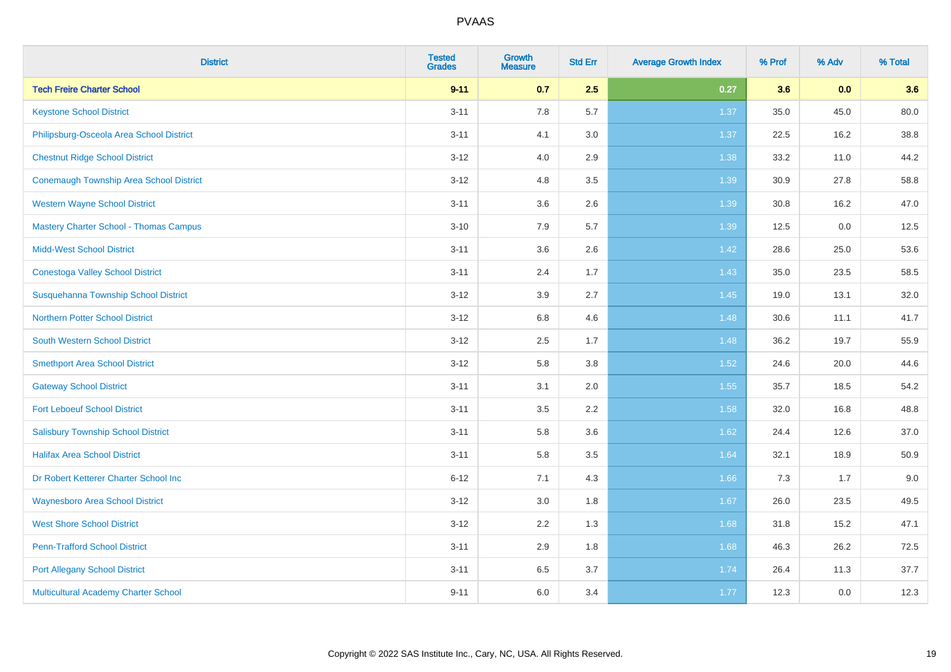| <b>District</b>                                | <b>Tested</b><br><b>Grades</b> | Growth<br><b>Measure</b> | <b>Std Err</b> | <b>Average Growth Index</b> | % Prof | % Adv | % Total |
|------------------------------------------------|--------------------------------|--------------------------|----------------|-----------------------------|--------|-------|---------|
| <b>Tech Freire Charter School</b>              | $9 - 11$                       | 0.7                      | 2.5            | 0.27                        | 3.6    | 0.0   | 3.6     |
| <b>Keystone School District</b>                | $3 - 11$                       | 7.8                      | 5.7            | 1.37                        | 35.0   | 45.0  | 80.0    |
| Philipsburg-Osceola Area School District       | $3 - 11$                       | 4.1                      | 3.0            | 1.37                        | 22.5   | 16.2  | 38.8    |
| <b>Chestnut Ridge School District</b>          | $3 - 12$                       | 4.0                      | 2.9            | 1.38                        | 33.2   | 11.0  | 44.2    |
| <b>Conemaugh Township Area School District</b> | $3 - 12$                       | 4.8                      | 3.5            | 1.39                        | 30.9   | 27.8  | 58.8    |
| <b>Western Wayne School District</b>           | $3 - 11$                       | 3.6                      | 2.6            | 1.39                        | 30.8   | 16.2  | 47.0    |
| <b>Mastery Charter School - Thomas Campus</b>  | $3 - 10$                       | 7.9                      | 5.7            | 1.39                        | 12.5   | 0.0   | 12.5    |
| <b>Midd-West School District</b>               | $3 - 11$                       | 3.6                      | 2.6            | 1.42                        | 28.6   | 25.0  | 53.6    |
| <b>Conestoga Valley School District</b>        | $3 - 11$                       | 2.4                      | 1.7            | 1.43                        | 35.0   | 23.5  | 58.5    |
| Susquehanna Township School District           | $3 - 12$                       | 3.9                      | 2.7            | 1.45                        | 19.0   | 13.1  | 32.0    |
| <b>Northern Potter School District</b>         | $3-12$                         | 6.8                      | 4.6            | 1.48                        | 30.6   | 11.1  | 41.7    |
| <b>South Western School District</b>           | $3 - 12$                       | 2.5                      | 1.7            | 1.48                        | 36.2   | 19.7  | 55.9    |
| <b>Smethport Area School District</b>          | $3 - 12$                       | 5.8                      | 3.8            | 1.52                        | 24.6   | 20.0  | 44.6    |
| <b>Gateway School District</b>                 | $3 - 11$                       | 3.1                      | 2.0            | 1.55                        | 35.7   | 18.5  | 54.2    |
| <b>Fort Leboeuf School District</b>            | $3 - 11$                       | 3.5                      | 2.2            | 1.58                        | 32.0   | 16.8  | 48.8    |
| <b>Salisbury Township School District</b>      | $3 - 11$                       | 5.8                      | 3.6            | 1.62                        | 24.4   | 12.6  | 37.0    |
| <b>Halifax Area School District</b>            | $3 - 11$                       | 5.8                      | 3.5            | 1.64                        | 32.1   | 18.9  | 50.9    |
| Dr Robert Ketterer Charter School Inc          | $6 - 12$                       | 7.1                      | 4.3            | 1.66                        | 7.3    | 1.7   | 9.0     |
| <b>Waynesboro Area School District</b>         | $3 - 12$                       | 3.0                      | 1.8            | 1.67                        | 26.0   | 23.5  | 49.5    |
| <b>West Shore School District</b>              | $3-12$                         | 2.2                      | 1.3            | 1.68                        | 31.8   | 15.2  | 47.1    |
| <b>Penn-Trafford School District</b>           | $3 - 11$                       | 2.9                      | 1.8            | 1.68                        | 46.3   | 26.2  | 72.5    |
| <b>Port Allegany School District</b>           | $3 - 11$                       | 6.5                      | 3.7            | 1.74                        | 26.4   | 11.3  | 37.7    |
| Multicultural Academy Charter School           | $9 - 11$                       | 6.0                      | 3.4            | 1.77                        | 12.3   | 0.0   | 12.3    |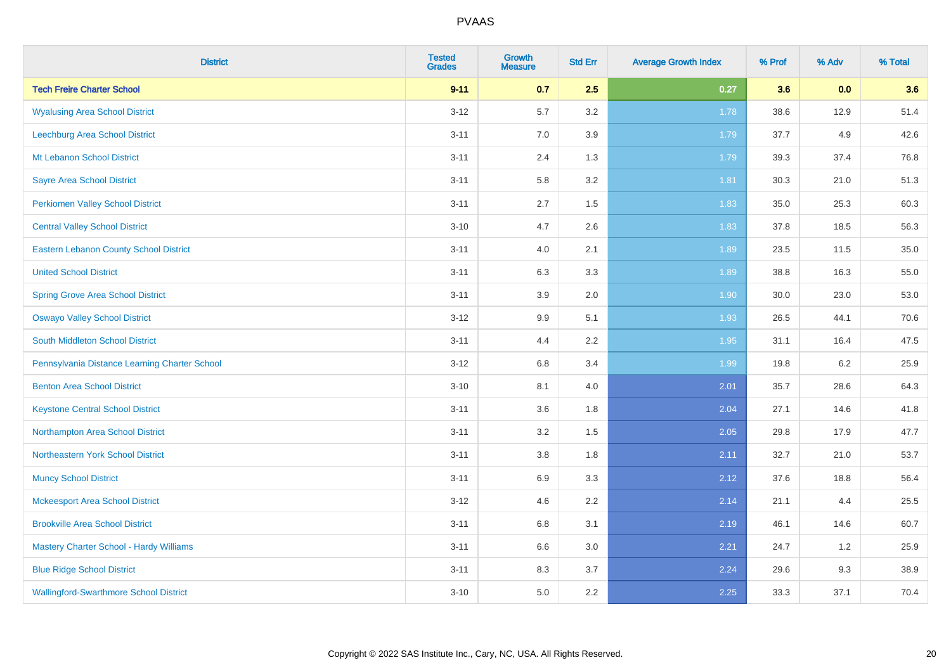| <b>District</b>                               | <b>Tested</b><br><b>Grades</b> | <b>Growth</b><br><b>Measure</b> | <b>Std Err</b> | <b>Average Growth Index</b> | % Prof | % Adv | % Total |
|-----------------------------------------------|--------------------------------|---------------------------------|----------------|-----------------------------|--------|-------|---------|
| <b>Tech Freire Charter School</b>             | $9 - 11$                       | 0.7                             | 2.5            | 0.27                        | 3.6    | 0.0   | 3.6     |
| <b>Wyalusing Area School District</b>         | $3 - 12$                       | 5.7                             | 3.2            | 1.78                        | 38.6   | 12.9  | 51.4    |
| Leechburg Area School District                | $3 - 11$                       | 7.0                             | 3.9            | 1.79                        | 37.7   | 4.9   | 42.6    |
| Mt Lebanon School District                    | $3 - 11$                       | 2.4                             | 1.3            | 1.79                        | 39.3   | 37.4  | 76.8    |
| <b>Sayre Area School District</b>             | $3 - 11$                       | 5.8                             | 3.2            | 1.81                        | 30.3   | 21.0  | 51.3    |
| <b>Perkiomen Valley School District</b>       | $3 - 11$                       | 2.7                             | 1.5            | 1.83                        | 35.0   | 25.3  | 60.3    |
| <b>Central Valley School District</b>         | $3 - 10$                       | 4.7                             | 2.6            | 1.83                        | 37.8   | 18.5  | 56.3    |
| <b>Eastern Lebanon County School District</b> | $3 - 11$                       | 4.0                             | 2.1            | 1.89                        | 23.5   | 11.5  | 35.0    |
| <b>United School District</b>                 | $3 - 11$                       | 6.3                             | 3.3            | 1.89                        | 38.8   | 16.3  | 55.0    |
| <b>Spring Grove Area School District</b>      | $3 - 11$                       | $3.9\,$                         | 2.0            | 1.90                        | 30.0   | 23.0  | 53.0    |
| <b>Oswayo Valley School District</b>          | $3 - 12$                       | 9.9                             | 5.1            | 1.93                        | 26.5   | 44.1  | 70.6    |
| <b>South Middleton School District</b>        | $3 - 11$                       | 4.4                             | 2.2            | 1.95                        | 31.1   | 16.4  | 47.5    |
| Pennsylvania Distance Learning Charter School | $3 - 12$                       | $6.8\,$                         | 3.4            | 1.99                        | 19.8   | 6.2   | 25.9    |
| <b>Benton Area School District</b>            | $3 - 10$                       | 8.1                             | 4.0            | 2.01                        | 35.7   | 28.6  | 64.3    |
| <b>Keystone Central School District</b>       | $3 - 11$                       | 3.6                             | 1.8            | 2.04                        | 27.1   | 14.6  | 41.8    |
| Northampton Area School District              | $3 - 11$                       | 3.2                             | 1.5            | 2.05                        | 29.8   | 17.9  | 47.7    |
| Northeastern York School District             | $3 - 11$                       | $3.8\,$                         | 1.8            | 2.11                        | 32.7   | 21.0  | 53.7    |
| <b>Muncy School District</b>                  | $3 - 11$                       | 6.9                             | 3.3            | 2.12                        | 37.6   | 18.8  | 56.4    |
| <b>Mckeesport Area School District</b>        | $3 - 12$                       | 4.6                             | 2.2            | 2.14                        | 21.1   | 4.4   | 25.5    |
| <b>Brookville Area School District</b>        | $3 - 11$                       | 6.8                             | 3.1            | 2.19                        | 46.1   | 14.6  | 60.7    |
| Mastery Charter School - Hardy Williams       | $3 - 11$                       | 6.6                             | 3.0            | 2.21                        | 24.7   | 1.2   | 25.9    |
| <b>Blue Ridge School District</b>             | $3 - 11$                       | 8.3                             | 3.7            | 2.24                        | 29.6   | 9.3   | 38.9    |
| <b>Wallingford-Swarthmore School District</b> | $3 - 10$                       | 5.0                             | 2.2            | 2.25                        | 33.3   | 37.1  | 70.4    |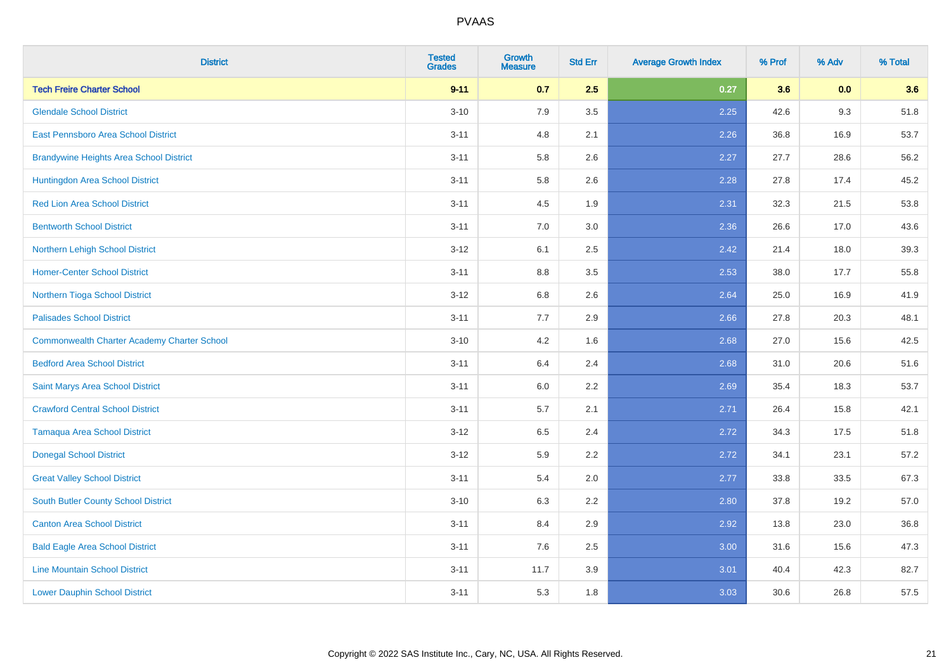| <b>District</b>                                    | <b>Tested</b><br><b>Grades</b> | <b>Growth</b><br><b>Measure</b> | <b>Std Err</b> | <b>Average Growth Index</b> | % Prof | % Adv | % Total |
|----------------------------------------------------|--------------------------------|---------------------------------|----------------|-----------------------------|--------|-------|---------|
| <b>Tech Freire Charter School</b>                  | $9 - 11$                       | 0.7                             | 2.5            | 0.27                        | 3.6    | 0.0   | 3.6     |
| <b>Glendale School District</b>                    | $3 - 10$                       | 7.9                             | 3.5            | 2.25                        | 42.6   | 9.3   | 51.8    |
| <b>East Pennsboro Area School District</b>         | $3 - 11$                       | 4.8                             | 2.1            | 2.26                        | 36.8   | 16.9  | 53.7    |
| <b>Brandywine Heights Area School District</b>     | $3 - 11$                       | 5.8                             | 2.6            | 2.27                        | 27.7   | 28.6  | 56.2    |
| Huntingdon Area School District                    | $3 - 11$                       | 5.8                             | 2.6            | 2.28                        | 27.8   | 17.4  | 45.2    |
| <b>Red Lion Area School District</b>               | $3 - 11$                       | 4.5                             | 1.9            | 2.31                        | 32.3   | 21.5  | 53.8    |
| <b>Bentworth School District</b>                   | $3 - 11$                       | 7.0                             | 3.0            | 2.36                        | 26.6   | 17.0  | 43.6    |
| Northern Lehigh School District                    | $3 - 12$                       | 6.1                             | 2.5            | 2.42                        | 21.4   | 18.0  | 39.3    |
| <b>Homer-Center School District</b>                | $3 - 11$                       | 8.8                             | 3.5            | 2.53                        | 38.0   | 17.7  | 55.8    |
| Northern Tioga School District                     | $3 - 12$                       | 6.8                             | 2.6            | 2.64                        | 25.0   | 16.9  | 41.9    |
| <b>Palisades School District</b>                   | $3 - 11$                       | 7.7                             | 2.9            | 2.66                        | 27.8   | 20.3  | 48.1    |
| <b>Commonwealth Charter Academy Charter School</b> | $3 - 10$                       | 4.2                             | 1.6            | 2.68                        | 27.0   | 15.6  | 42.5    |
| <b>Bedford Area School District</b>                | $3 - 11$                       | 6.4                             | 2.4            | 2.68                        | 31.0   | 20.6  | 51.6    |
| Saint Marys Area School District                   | $3 - 11$                       | 6.0                             | 2.2            | 2.69                        | 35.4   | 18.3  | 53.7    |
| <b>Crawford Central School District</b>            | $3 - 11$                       | 5.7                             | 2.1            | 2.71                        | 26.4   | 15.8  | 42.1    |
| <b>Tamaqua Area School District</b>                | $3-12$                         | 6.5                             | 2.4            | 2.72                        | 34.3   | 17.5  | 51.8    |
| <b>Donegal School District</b>                     | $3 - 12$                       | 5.9                             | 2.2            | 2.72                        | 34.1   | 23.1  | 57.2    |
| <b>Great Valley School District</b>                | $3 - 11$                       | 5.4                             | 2.0            | 2.77                        | 33.8   | 33.5  | 67.3    |
| <b>South Butler County School District</b>         | $3 - 10$                       | 6.3                             | 2.2            | 2.80                        | 37.8   | 19.2  | 57.0    |
| <b>Canton Area School District</b>                 | $3 - 11$                       | 8.4                             | 2.9            | 2.92                        | 13.8   | 23.0  | 36.8    |
| <b>Bald Eagle Area School District</b>             | $3 - 11$                       | 7.6                             | 2.5            | 3.00                        | 31.6   | 15.6  | 47.3    |
| <b>Line Mountain School District</b>               | $3 - 11$                       | 11.7                            | 3.9            | 3.01                        | 40.4   | 42.3  | 82.7    |
| <b>Lower Dauphin School District</b>               | $3 - 11$                       | 5.3                             | 1.8            | 3.03                        | 30.6   | 26.8  | 57.5    |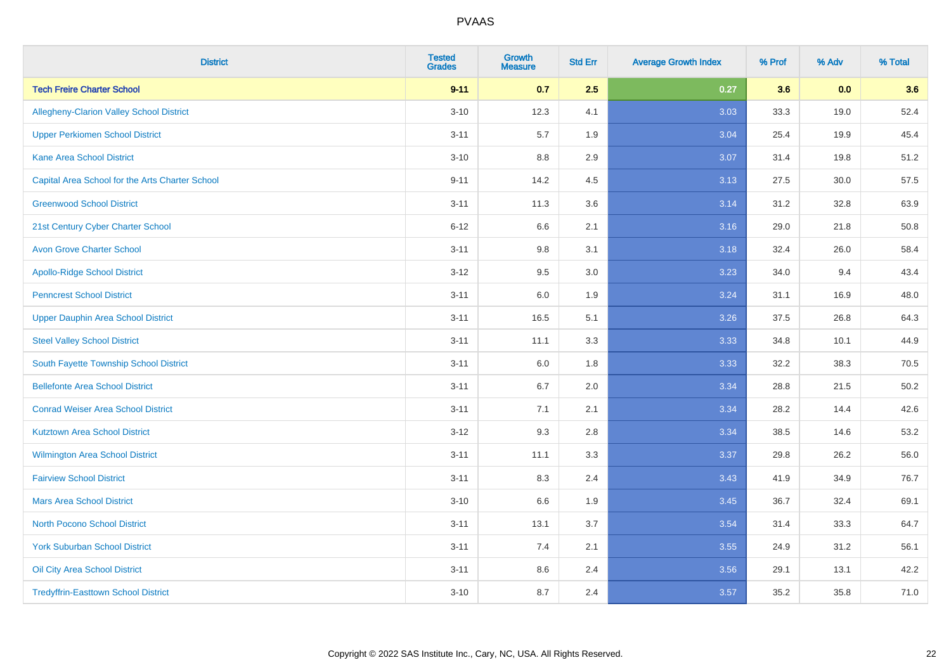| <b>District</b>                                 | <b>Tested</b><br><b>Grades</b> | <b>Growth</b><br><b>Measure</b> | <b>Std Err</b> | <b>Average Growth Index</b> | % Prof | % Adv | % Total |
|-------------------------------------------------|--------------------------------|---------------------------------|----------------|-----------------------------|--------|-------|---------|
| <b>Tech Freire Charter School</b>               | $9 - 11$                       | 0.7                             | 2.5            | 0.27                        | 3.6    | 0.0   | 3.6     |
| <b>Allegheny-Clarion Valley School District</b> | $3 - 10$                       | 12.3                            | 4.1            | 3.03                        | 33.3   | 19.0  | 52.4    |
| <b>Upper Perkiomen School District</b>          | $3 - 11$                       | 5.7                             | 1.9            | 3.04                        | 25.4   | 19.9  | 45.4    |
| <b>Kane Area School District</b>                | $3 - 10$                       | 8.8                             | 2.9            | 3.07                        | 31.4   | 19.8  | 51.2    |
| Capital Area School for the Arts Charter School | $9 - 11$                       | 14.2                            | 4.5            | 3.13                        | 27.5   | 30.0  | 57.5    |
| <b>Greenwood School District</b>                | $3 - 11$                       | 11.3                            | 3.6            | 3.14                        | 31.2   | 32.8  | 63.9    |
| 21st Century Cyber Charter School               | $6 - 12$                       | 6.6                             | 2.1            | 3.16                        | 29.0   | 21.8  | 50.8    |
| <b>Avon Grove Charter School</b>                | $3 - 11$                       | 9.8                             | 3.1            | 3.18                        | 32.4   | 26.0  | 58.4    |
| <b>Apollo-Ridge School District</b>             | $3 - 12$                       | 9.5                             | 3.0            | 3.23                        | 34.0   | 9.4   | 43.4    |
| <b>Penncrest School District</b>                | $3 - 11$                       | 6.0                             | 1.9            | 3.24                        | 31.1   | 16.9  | 48.0    |
| <b>Upper Dauphin Area School District</b>       | $3 - 11$                       | 16.5                            | 5.1            | 3.26                        | 37.5   | 26.8  | 64.3    |
| <b>Steel Valley School District</b>             | $3 - 11$                       | 11.1                            | 3.3            | 3.33                        | 34.8   | 10.1  | 44.9    |
| South Fayette Township School District          | $3 - 11$                       | 6.0                             | 1.8            | 3.33                        | 32.2   | 38.3  | 70.5    |
| <b>Bellefonte Area School District</b>          | $3 - 11$                       | 6.7                             | 2.0            | 3.34                        | 28.8   | 21.5  | 50.2    |
| <b>Conrad Weiser Area School District</b>       | $3 - 11$                       | 7.1                             | 2.1            | 3.34                        | 28.2   | 14.4  | 42.6    |
| <b>Kutztown Area School District</b>            | $3 - 12$                       | 9.3                             | 2.8            | 3.34                        | 38.5   | 14.6  | 53.2    |
| Wilmington Area School District                 | $3 - 11$                       | 11.1                            | 3.3            | 3.37                        | 29.8   | 26.2  | 56.0    |
| <b>Fairview School District</b>                 | $3 - 11$                       | 8.3                             | 2.4            | 3.43                        | 41.9   | 34.9  | 76.7    |
| <b>Mars Area School District</b>                | $3 - 10$                       | 6.6                             | 1.9            | 3.45                        | 36.7   | 32.4  | 69.1    |
| <b>North Pocono School District</b>             | $3 - 11$                       | 13.1                            | 3.7            | 3.54                        | 31.4   | 33.3  | 64.7    |
| <b>York Suburban School District</b>            | $3 - 11$                       | 7.4                             | 2.1            | 3.55                        | 24.9   | 31.2  | 56.1    |
| Oil City Area School District                   | $3 - 11$                       | 8.6                             | 2.4            | 3.56                        | 29.1   | 13.1  | 42.2    |
| <b>Tredyffrin-Easttown School District</b>      | $3 - 10$                       | 8.7                             | 2.4            | 3.57                        | 35.2   | 35.8  | 71.0    |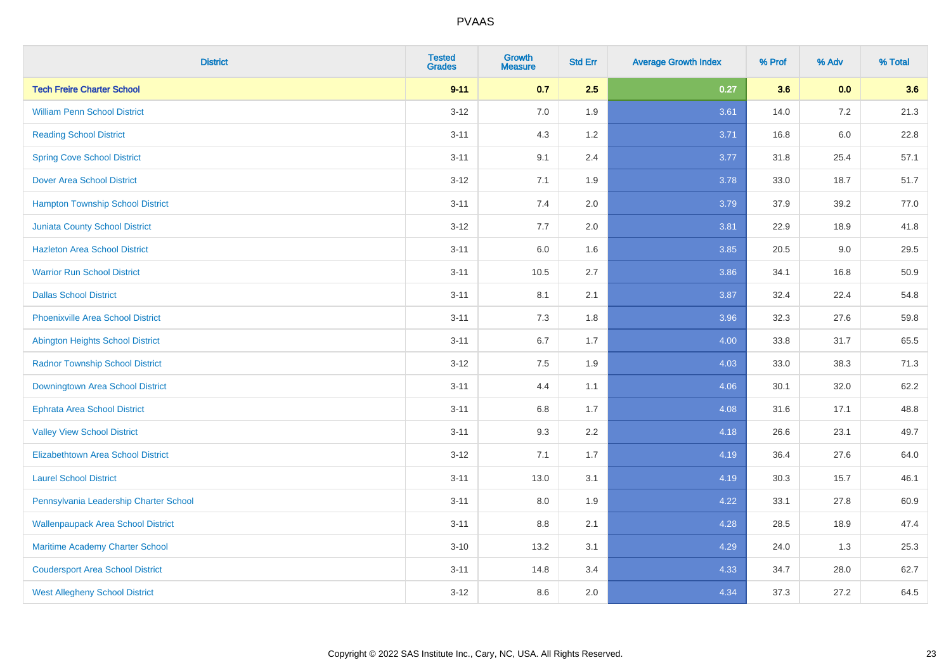| <b>District</b>                           | <b>Tested</b><br><b>Grades</b> | <b>Growth</b><br><b>Measure</b> | <b>Std Err</b> | <b>Average Growth Index</b> | % Prof | % Adv   | % Total |
|-------------------------------------------|--------------------------------|---------------------------------|----------------|-----------------------------|--------|---------|---------|
| <b>Tech Freire Charter School</b>         | $9 - 11$                       | 0.7                             | 2.5            | 0.27                        | 3.6    | 0.0     | 3.6     |
| <b>William Penn School District</b>       | $3 - 12$                       | 7.0                             | 1.9            | 3.61                        | 14.0   | $7.2\,$ | 21.3    |
| <b>Reading School District</b>            | $3 - 11$                       | 4.3                             | 1.2            | 3.71                        | 16.8   | $6.0\,$ | 22.8    |
| <b>Spring Cove School District</b>        | $3 - 11$                       | 9.1                             | 2.4            | 3.77                        | 31.8   | 25.4    | 57.1    |
| <b>Dover Area School District</b>         | $3 - 12$                       | 7.1                             | 1.9            | 3.78                        | 33.0   | 18.7    | 51.7    |
| <b>Hampton Township School District</b>   | $3 - 11$                       | 7.4                             | 2.0            | 3.79                        | 37.9   | 39.2    | 77.0    |
| <b>Juniata County School District</b>     | $3-12$                         | 7.7                             | 2.0            | 3.81                        | 22.9   | 18.9    | 41.8    |
| <b>Hazleton Area School District</b>      | $3 - 11$                       | 6.0                             | 1.6            | 3.85                        | 20.5   | 9.0     | 29.5    |
| <b>Warrior Run School District</b>        | $3 - 11$                       | 10.5                            | 2.7            | 3.86                        | 34.1   | 16.8    | 50.9    |
| <b>Dallas School District</b>             | $3 - 11$                       | 8.1                             | 2.1            | 3.87                        | 32.4   | 22.4    | 54.8    |
| <b>Phoenixville Area School District</b>  | $3 - 11$                       | 7.3                             | 1.8            | 3.96                        | 32.3   | 27.6    | 59.8    |
| Abington Heights School District          | $3 - 11$                       | 6.7                             | 1.7            | 4.00                        | 33.8   | 31.7    | 65.5    |
| <b>Radnor Township School District</b>    | $3 - 12$                       | $7.5\,$                         | 1.9            | 4.03                        | 33.0   | 38.3    | 71.3    |
| Downingtown Area School District          | $3 - 11$                       | 4.4                             | 1.1            | 4.06                        | 30.1   | 32.0    | 62.2    |
| <b>Ephrata Area School District</b>       | $3 - 11$                       | 6.8                             | 1.7            | 4.08                        | 31.6   | 17.1    | 48.8    |
| <b>Valley View School District</b>        | $3 - 11$                       | 9.3                             | 2.2            | 4.18                        | 26.6   | 23.1    | 49.7    |
| <b>Elizabethtown Area School District</b> | $3-12$                         | 7.1                             | 1.7            | 4.19                        | 36.4   | 27.6    | 64.0    |
| <b>Laurel School District</b>             | $3 - 11$                       | 13.0                            | 3.1            | 4.19                        | 30.3   | 15.7    | 46.1    |
| Pennsylvania Leadership Charter School    | $3 - 11$                       | 8.0                             | 1.9            | 4.22                        | 33.1   | 27.8    | 60.9    |
| <b>Wallenpaupack Area School District</b> | $3 - 11$                       | 8.8                             | 2.1            | 4.28                        | 28.5   | 18.9    | 47.4    |
| Maritime Academy Charter School           | $3 - 10$                       | 13.2                            | 3.1            | 4.29                        | 24.0   | 1.3     | 25.3    |
| <b>Coudersport Area School District</b>   | $3 - 11$                       | 14.8                            | 3.4            | 4.33                        | 34.7   | 28.0    | 62.7    |
| <b>West Allegheny School District</b>     | $3-12$                         | 8.6                             | 2.0            | 4.34                        | 37.3   | 27.2    | 64.5    |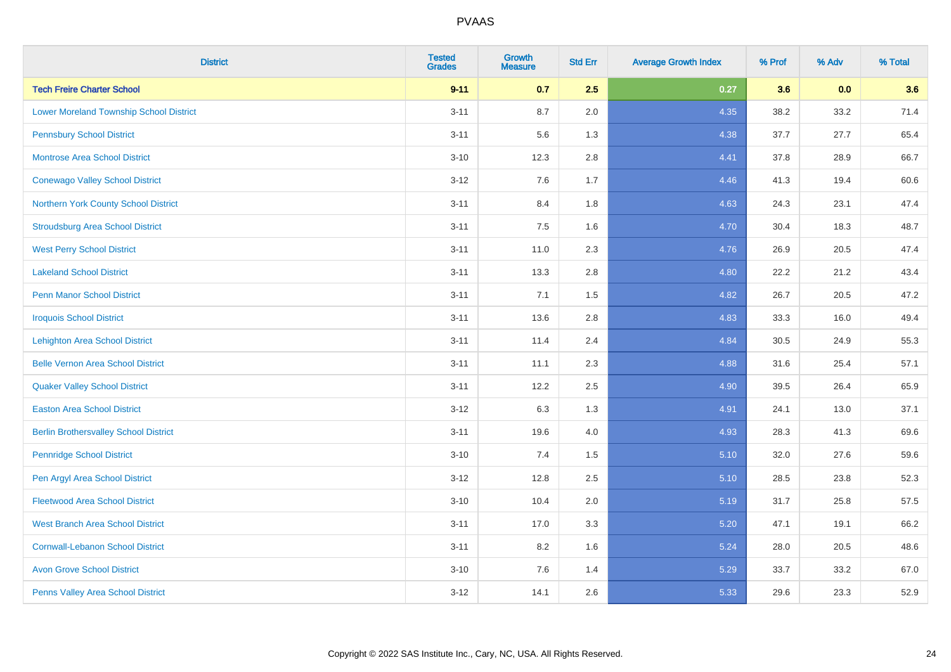| <b>District</b>                                | <b>Tested</b><br><b>Grades</b> | <b>Growth</b><br><b>Measure</b> | <b>Std Err</b> | <b>Average Growth Index</b> | % Prof | % Adv | % Total |
|------------------------------------------------|--------------------------------|---------------------------------|----------------|-----------------------------|--------|-------|---------|
| <b>Tech Freire Charter School</b>              | $9 - 11$                       | 0.7                             | 2.5            | 0.27                        | 3.6    | 0.0   | 3.6     |
| <b>Lower Moreland Township School District</b> | $3 - 11$                       | 8.7                             | 2.0            | 4.35                        | 38.2   | 33.2  | 71.4    |
| <b>Pennsbury School District</b>               | $3 - 11$                       | 5.6                             | 1.3            | 4.38                        | 37.7   | 27.7  | 65.4    |
| <b>Montrose Area School District</b>           | $3 - 10$                       | 12.3                            | 2.8            | 4.41                        | 37.8   | 28.9  | 66.7    |
| <b>Conewago Valley School District</b>         | $3 - 12$                       | 7.6                             | 1.7            | 4.46                        | 41.3   | 19.4  | 60.6    |
| Northern York County School District           | $3 - 11$                       | 8.4                             | 1.8            | 4.63                        | 24.3   | 23.1  | 47.4    |
| <b>Stroudsburg Area School District</b>        | $3 - 11$                       | 7.5                             | 1.6            | 4.70                        | 30.4   | 18.3  | 48.7    |
| <b>West Perry School District</b>              | $3 - 11$                       | 11.0                            | 2.3            | 4.76                        | 26.9   | 20.5  | 47.4    |
| <b>Lakeland School District</b>                | $3 - 11$                       | 13.3                            | 2.8            | 4.80                        | 22.2   | 21.2  | 43.4    |
| <b>Penn Manor School District</b>              | $3 - 11$                       | 7.1                             | 1.5            | 4.82                        | 26.7   | 20.5  | 47.2    |
| <b>Iroquois School District</b>                | $3 - 11$                       | 13.6                            | 2.8            | 4.83                        | 33.3   | 16.0  | 49.4    |
| <b>Lehighton Area School District</b>          | $3 - 11$                       | 11.4                            | 2.4            | 4.84                        | 30.5   | 24.9  | 55.3    |
| <b>Belle Vernon Area School District</b>       | $3 - 11$                       | 11.1                            | 2.3            | 4.88                        | 31.6   | 25.4  | 57.1    |
| <b>Quaker Valley School District</b>           | $3 - 11$                       | 12.2                            | 2.5            | 4.90                        | 39.5   | 26.4  | 65.9    |
| <b>Easton Area School District</b>             | $3 - 12$                       | 6.3                             | 1.3            | 4.91                        | 24.1   | 13.0  | 37.1    |
| <b>Berlin Brothersvalley School District</b>   | $3 - 11$                       | 19.6                            | 4.0            | 4.93                        | 28.3   | 41.3  | 69.6    |
| <b>Pennridge School District</b>               | $3 - 10$                       | 7.4                             | 1.5            | 5.10                        | 32.0   | 27.6  | 59.6    |
| Pen Argyl Area School District                 | $3 - 12$                       | 12.8                            | 2.5            | 5.10                        | 28.5   | 23.8  | 52.3    |
| <b>Fleetwood Area School District</b>          | $3 - 10$                       | 10.4                            | 2.0            | 5.19                        | 31.7   | 25.8  | 57.5    |
| <b>West Branch Area School District</b>        | $3 - 11$                       | 17.0                            | 3.3            | 5.20                        | 47.1   | 19.1  | 66.2    |
| <b>Cornwall-Lebanon School District</b>        | $3 - 11$                       | 8.2                             | 1.6            | 5.24                        | 28.0   | 20.5  | 48.6    |
| <b>Avon Grove School District</b>              | $3 - 10$                       | 7.6                             | 1.4            | 5.29                        | 33.7   | 33.2  | 67.0    |
| Penns Valley Area School District              | $3 - 12$                       | 14.1                            | 2.6            | 5.33                        | 29.6   | 23.3  | 52.9    |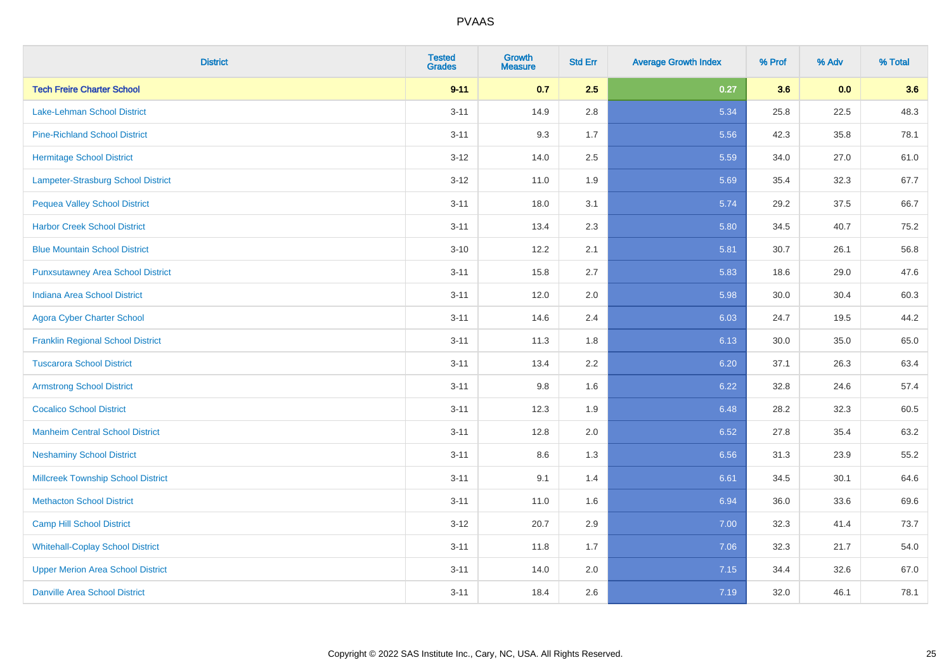| <b>District</b>                           | <b>Tested</b><br><b>Grades</b> | <b>Growth</b><br><b>Measure</b> | <b>Std Err</b> | <b>Average Growth Index</b> | % Prof | % Adv | % Total |
|-------------------------------------------|--------------------------------|---------------------------------|----------------|-----------------------------|--------|-------|---------|
| <b>Tech Freire Charter School</b>         | $9 - 11$                       | 0.7                             | 2.5            | 0.27                        | 3.6    | 0.0   | 3.6     |
| Lake-Lehman School District               | $3 - 11$                       | 14.9                            | 2.8            | 5.34                        | 25.8   | 22.5  | 48.3    |
| <b>Pine-Richland School District</b>      | $3 - 11$                       | 9.3                             | 1.7            | 5.56                        | 42.3   | 35.8  | 78.1    |
| <b>Hermitage School District</b>          | $3 - 12$                       | 14.0                            | 2.5            | 5.59                        | 34.0   | 27.0  | 61.0    |
| Lampeter-Strasburg School District        | $3 - 12$                       | 11.0                            | 1.9            | 5.69                        | 35.4   | 32.3  | 67.7    |
| <b>Pequea Valley School District</b>      | $3 - 11$                       | 18.0                            | 3.1            | 5.74                        | 29.2   | 37.5  | 66.7    |
| <b>Harbor Creek School District</b>       | $3 - 11$                       | 13.4                            | 2.3            | 5.80                        | 34.5   | 40.7  | 75.2    |
| <b>Blue Mountain School District</b>      | $3 - 10$                       | 12.2                            | 2.1            | 5.81                        | 30.7   | 26.1  | 56.8    |
| <b>Punxsutawney Area School District</b>  | $3 - 11$                       | 15.8                            | 2.7            | 5.83                        | 18.6   | 29.0  | 47.6    |
| <b>Indiana Area School District</b>       | $3 - 11$                       | 12.0                            | 2.0            | 5.98                        | 30.0   | 30.4  | 60.3    |
| <b>Agora Cyber Charter School</b>         | $3 - 11$                       | 14.6                            | 2.4            | 6.03                        | 24.7   | 19.5  | 44.2    |
| <b>Franklin Regional School District</b>  | $3 - 11$                       | 11.3                            | 1.8            | 6.13                        | 30.0   | 35.0  | 65.0    |
| <b>Tuscarora School District</b>          | $3 - 11$                       | 13.4                            | 2.2            | 6.20                        | 37.1   | 26.3  | 63.4    |
| <b>Armstrong School District</b>          | $3 - 11$                       | 9.8                             | 1.6            | 6.22                        | 32.8   | 24.6  | 57.4    |
| <b>Cocalico School District</b>           | $3 - 11$                       | 12.3                            | 1.9            | 6.48                        | 28.2   | 32.3  | 60.5    |
| <b>Manheim Central School District</b>    | $3 - 11$                       | 12.8                            | 2.0            | 6.52                        | 27.8   | 35.4  | 63.2    |
| <b>Neshaminy School District</b>          | $3 - 11$                       | 8.6                             | 1.3            | 6.56                        | 31.3   | 23.9  | 55.2    |
| <b>Millcreek Township School District</b> | $3 - 11$                       | 9.1                             | 1.4            | 6.61                        | 34.5   | 30.1  | 64.6    |
| <b>Methacton School District</b>          | $3 - 11$                       | 11.0                            | 1.6            | 6.94                        | 36.0   | 33.6  | 69.6    |
| Camp Hill School District                 | $3 - 12$                       | 20.7                            | 2.9            | 7.00                        | 32.3   | 41.4  | 73.7    |
| <b>Whitehall-Coplay School District</b>   | $3 - 11$                       | 11.8                            | 1.7            | 7.06                        | 32.3   | 21.7  | 54.0    |
| <b>Upper Merion Area School District</b>  | $3 - 11$                       | 14.0                            | 2.0            | 7.15                        | 34.4   | 32.6  | 67.0    |
| <b>Danville Area School District</b>      | $3 - 11$                       | 18.4                            | 2.6            | 7.19                        | 32.0   | 46.1  | 78.1    |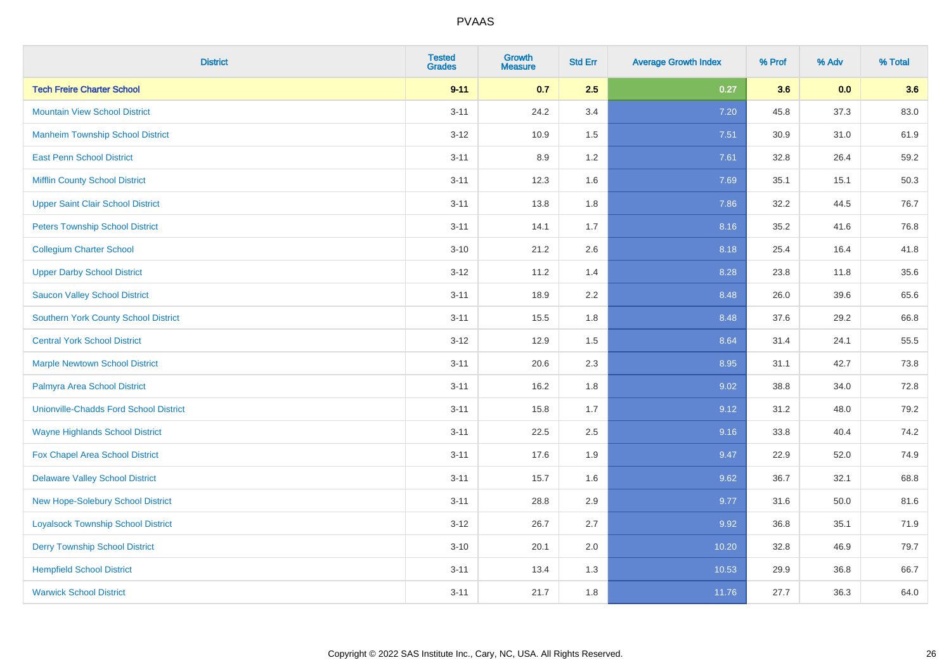| <b>District</b>                               | <b>Tested</b><br><b>Grades</b> | <b>Growth</b><br><b>Measure</b> | <b>Std Err</b> | <b>Average Growth Index</b> | % Prof | % Adv | % Total |
|-----------------------------------------------|--------------------------------|---------------------------------|----------------|-----------------------------|--------|-------|---------|
| <b>Tech Freire Charter School</b>             | $9 - 11$                       | 0.7                             | 2.5            | 0.27                        | 3.6    | 0.0   | 3.6     |
| <b>Mountain View School District</b>          | $3 - 11$                       | 24.2                            | 3.4            | 7.20                        | 45.8   | 37.3  | 83.0    |
| <b>Manheim Township School District</b>       | $3 - 12$                       | 10.9                            | 1.5            | 7.51                        | 30.9   | 31.0  | 61.9    |
| <b>East Penn School District</b>              | $3 - 11$                       | 8.9                             | 1.2            | 7.61                        | 32.8   | 26.4  | 59.2    |
| <b>Mifflin County School District</b>         | $3 - 11$                       | 12.3                            | 1.6            | 7.69                        | 35.1   | 15.1  | 50.3    |
| <b>Upper Saint Clair School District</b>      | $3 - 11$                       | 13.8                            | 1.8            | 7.86                        | 32.2   | 44.5  | 76.7    |
| <b>Peters Township School District</b>        | $3 - 11$                       | 14.1                            | 1.7            | 8.16                        | 35.2   | 41.6  | 76.8    |
| <b>Collegium Charter School</b>               | $3 - 10$                       | 21.2                            | 2.6            | 8.18                        | 25.4   | 16.4  | 41.8    |
| <b>Upper Darby School District</b>            | $3-12$                         | 11.2                            | 1.4            | 8.28                        | 23.8   | 11.8  | 35.6    |
| <b>Saucon Valley School District</b>          | $3 - 11$                       | 18.9                            | 2.2            | 8.48                        | 26.0   | 39.6  | 65.6    |
| <b>Southern York County School District</b>   | $3 - 11$                       | 15.5                            | 1.8            | 8.48                        | 37.6   | 29.2  | 66.8    |
| <b>Central York School District</b>           | $3-12$                         | 12.9                            | 1.5            | 8.64                        | 31.4   | 24.1  | 55.5    |
| <b>Marple Newtown School District</b>         | $3 - 11$                       | 20.6                            | 2.3            | 8.95                        | 31.1   | 42.7  | 73.8    |
| Palmyra Area School District                  | $3 - 11$                       | 16.2                            | 1.8            | 9.02                        | 38.8   | 34.0  | 72.8    |
| <b>Unionville-Chadds Ford School District</b> | $3 - 11$                       | 15.8                            | 1.7            | 9.12                        | 31.2   | 48.0  | 79.2    |
| <b>Wayne Highlands School District</b>        | $3 - 11$                       | 22.5                            | 2.5            | 9.16                        | 33.8   | 40.4  | 74.2    |
| Fox Chapel Area School District               | $3 - 11$                       | 17.6                            | 1.9            | 9.47                        | 22.9   | 52.0  | 74.9    |
| <b>Delaware Valley School District</b>        | $3 - 11$                       | 15.7                            | 1.6            | 9.62                        | 36.7   | 32.1  | 68.8    |
| New Hope-Solebury School District             | $3 - 11$                       | 28.8                            | 2.9            | 9.77                        | 31.6   | 50.0  | 81.6    |
| <b>Loyalsock Township School District</b>     | $3 - 12$                       | 26.7                            | 2.7            | 9.92                        | 36.8   | 35.1  | 71.9    |
| <b>Derry Township School District</b>         | $3 - 10$                       | 20.1                            | 2.0            | 10.20                       | 32.8   | 46.9  | 79.7    |
| <b>Hempfield School District</b>              | $3 - 11$                       | 13.4                            | 1.3            | 10.53                       | 29.9   | 36.8  | 66.7    |
| <b>Warwick School District</b>                | $3 - 11$                       | 21.7                            | 1.8            | 11.76                       | 27.7   | 36.3  | 64.0    |